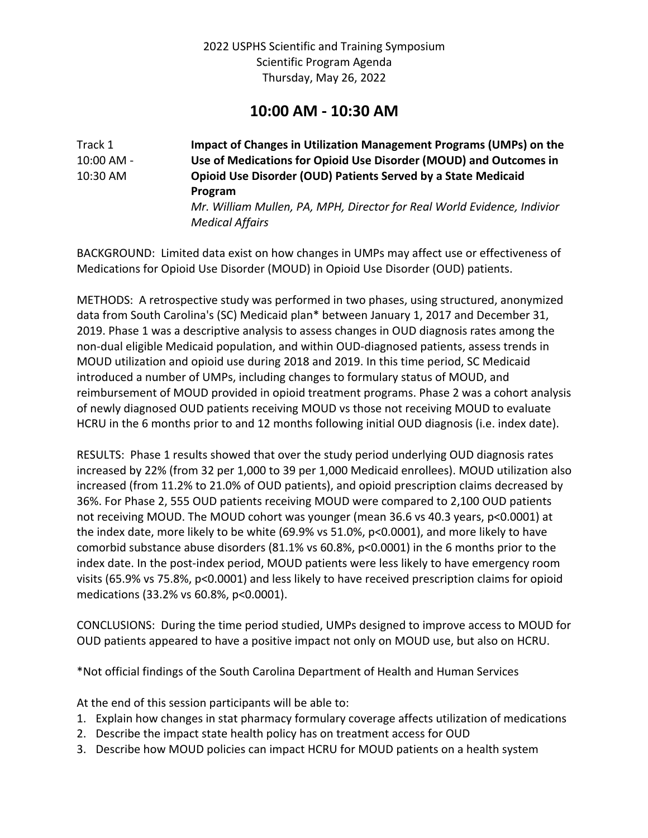# **10:00 AM - 10:30 AM**

Track 1 **Impact of Changes in Utilization Management Programs (UMPs) on the**  10:00 AM - **Use of Medications for Opioid Use Disorder (MOUD) and Outcomes in**  10:30 AM **Opioid Use Disorder (OUD) Patients Served by a State Medicaid Program** *Mr. William Mullen, PA, MPH, Director for Real World Evidence, Indivior Medical Affairs*

BACKGROUND: Limited data exist on how changes in UMPs may affect use or effectiveness of Medications for Opioid Use Disorder (MOUD) in Opioid Use Disorder (OUD) patients.

METHODS: A retrospective study was performed in two phases, using structured, anonymized data from South Carolina's (SC) Medicaid plan\* between January 1, 2017 and December 31, 2019. Phase 1 was a descriptive analysis to assess changes in OUD diagnosis rates among the non-dual eligible Medicaid population, and within OUD-diagnosed patients, assess trends in MOUD utilization and opioid use during 2018 and 2019. In this time period, SC Medicaid introduced a number of UMPs, including changes to formulary status of MOUD, and reimbursement of MOUD provided in opioid treatment programs. Phase 2 was a cohort analysis of newly diagnosed OUD patients receiving MOUD vs those not receiving MOUD to evaluate HCRU in the 6 months prior to and 12 months following initial OUD diagnosis (i.e. index date).

RESULTS: Phase 1 results showed that over the study period underlying OUD diagnosis rates increased by 22% (from 32 per 1,000 to 39 per 1,000 Medicaid enrollees). MOUD utilization also increased (from 11.2% to 21.0% of OUD patients), and opioid prescription claims decreased by 36%. For Phase 2, 555 OUD patients receiving MOUD were compared to 2,100 OUD patients not receiving MOUD. The MOUD cohort was younger (mean 36.6 vs 40.3 years, p<0.0001) at the index date, more likely to be white (69.9% vs 51.0%, p<0.0001), and more likely to have comorbid substance abuse disorders (81.1% vs 60.8%, p<0.0001) in the 6 months prior to the index date. In the post-index period, MOUD patients were less likely to have emergency room visits (65.9% vs 75.8%, p<0.0001) and less likely to have received prescription claims for opioid medications (33.2% vs 60.8%, p<0.0001).

CONCLUSIONS: During the time period studied, UMPs designed to improve access to MOUD for OUD patients appeared to have a positive impact not only on MOUD use, but also on HCRU.

\*Not official findings of the South Carolina Department of Health and Human Services

At the end of this session participants will be able to:

- 1. Explain how changes in stat pharmacy formulary coverage affects utilization of medications
- 2. Describe the impact state health policy has on treatment access for OUD
- 3. Describe how MOUD policies can impact HCRU for MOUD patients on a health system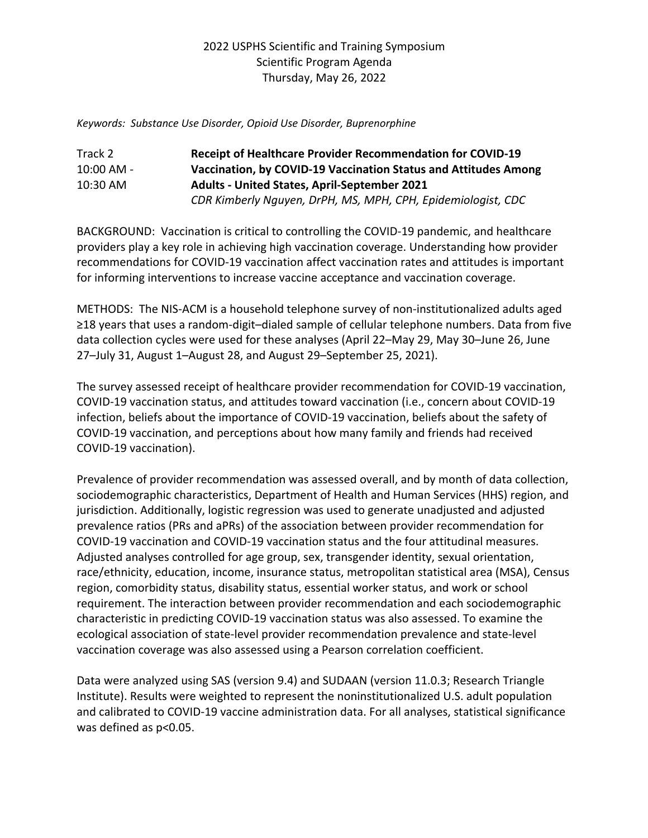*Keywords: Substance Use Disorder, Opioid Use Disorder, Buprenorphine*

## Track 2 **Receipt of Healthcare Provider Recommendation for COVID-19**  10:00 AM - **Vaccination, by COVID-19 Vaccination Status and Attitudes Among**  10:30 AM **Adults - United States, April-September 2021** *CDR Kimberly Nguyen, DrPH, MS, MPH, CPH, Epidemiologist, CDC*

BACKGROUND: Vaccination is critical to controlling the COVID-19 pandemic, and healthcare providers play a key role in achieving high vaccination coverage. Understanding how provider recommendations for COVID-19 vaccination affect vaccination rates and attitudes is important for informing interventions to increase vaccine acceptance and vaccination coverage.

METHODS: The NIS-ACM is a household telephone survey of non-institutionalized adults aged ≥18 years that uses a random-digit–dialed sample of cellular telephone numbers. Data from five data collection cycles were used for these analyses (April 22–May 29, May 30–June 26, June 27–July 31, August 1–August 28, and August 29–September 25, 2021).

The survey assessed receipt of healthcare provider recommendation for COVID-19 vaccination, COVID-19 vaccination status, and attitudes toward vaccination (i.e., concern about COVID-19 infection, beliefs about the importance of COVID-19 vaccination, beliefs about the safety of COVID-19 vaccination, and perceptions about how many family and friends had received COVID-19 vaccination).

Prevalence of provider recommendation was assessed overall, and by month of data collection, sociodemographic characteristics, Department of Health and Human Services (HHS) region, and jurisdiction. Additionally, logistic regression was used to generate unadjusted and adjusted prevalence ratios (PRs and aPRs) of the association between provider recommendation for COVID-19 vaccination and COVID-19 vaccination status and the four attitudinal measures. Adjusted analyses controlled for age group, sex, transgender identity, sexual orientation, race/ethnicity, education, income, insurance status, metropolitan statistical area (MSA), Census region, comorbidity status, disability status, essential worker status, and work or school requirement. The interaction between provider recommendation and each sociodemographic characteristic in predicting COVID-19 vaccination status was also assessed. To examine the ecological association of state-level provider recommendation prevalence and state-level vaccination coverage was also assessed using a Pearson correlation coefficient.

Data were analyzed using SAS (version 9.4) and SUDAAN (version 11.0.3; Research Triangle Institute). Results were weighted to represent the noninstitutionalized U.S. adult population and calibrated to COVID-19 vaccine administration data. For all analyses, statistical significance was defined as  $p<0.05$ .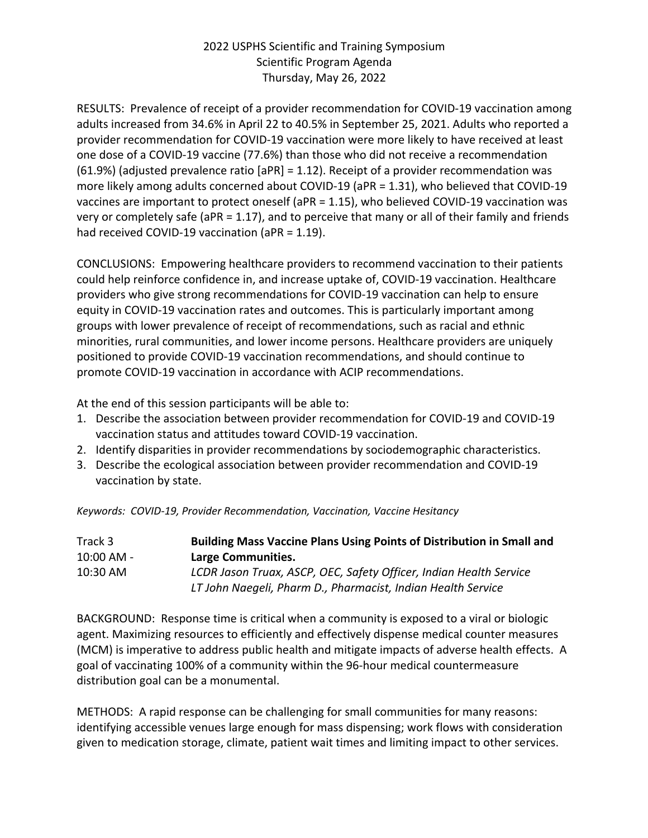RESULTS: Prevalence of receipt of a provider recommendation for COVID-19 vaccination among adults increased from 34.6% in April 22 to 40.5% in September 25, 2021. Adults who reported a provider recommendation for COVID-19 vaccination were more likely to have received at least one dose of a COVID-19 vaccine (77.6%) than those who did not receive a recommendation (61.9%) (adjusted prevalence ratio [aPR] = 1.12). Receipt of a provider recommendation was more likely among adults concerned about COVID-19 (aPR = 1.31), who believed that COVID-19 vaccines are important to protect oneself (aPR = 1.15), who believed COVID-19 vaccination was very or completely safe (aPR = 1.17), and to perceive that many or all of their family and friends had received COVID-19 vaccination (aPR = 1.19).

CONCLUSIONS: Empowering healthcare providers to recommend vaccination to their patients could help reinforce confidence in, and increase uptake of, COVID-19 vaccination. Healthcare providers who give strong recommendations for COVID-19 vaccination can help to ensure equity in COVID-19 vaccination rates and outcomes. This is particularly important among groups with lower prevalence of receipt of recommendations, such as racial and ethnic minorities, rural communities, and lower income persons. Healthcare providers are uniquely positioned to provide COVID-19 vaccination recommendations, and should continue to promote COVID-19 vaccination in accordance with ACIP recommendations.

At the end of this session participants will be able to:

- 1. Describe the association between provider recommendation for COVID-19 and COVID-19 vaccination status and attitudes toward COVID-19 vaccination.
- 2. Identify disparities in provider recommendations by sociodemographic characteristics.
- 3. Describe the ecological association between provider recommendation and COVID-19 vaccination by state.

|  | Keywords: COVID-19, Provider Recommendation, Vaccination, Vaccine Hesitancy |  |  |
|--|-----------------------------------------------------------------------------|--|--|
|  |                                                                             |  |  |

| Track 3    | <b>Building Mass Vaccine Plans Using Points of Distribution in Small and</b> |
|------------|------------------------------------------------------------------------------|
| 10:00 AM - | Large Communities.                                                           |
| $10:30$ AM | LCDR Jason Truax, ASCP, OEC, Safety Officer, Indian Health Service           |
|            | LT John Naegeli, Pharm D., Pharmacist, Indian Health Service                 |

BACKGROUND: Response time is critical when a community is exposed to a viral or biologic agent. Maximizing resources to efficiently and effectively dispense medical counter measures (MCM) is imperative to address public health and mitigate impacts of adverse health effects. A goal of vaccinating 100% of a community within the 96-hour medical countermeasure distribution goal can be a monumental.

METHODS: A rapid response can be challenging for small communities for many reasons: identifying accessible venues large enough for mass dispensing; work flows with consideration given to medication storage, climate, patient wait times and limiting impact to other services.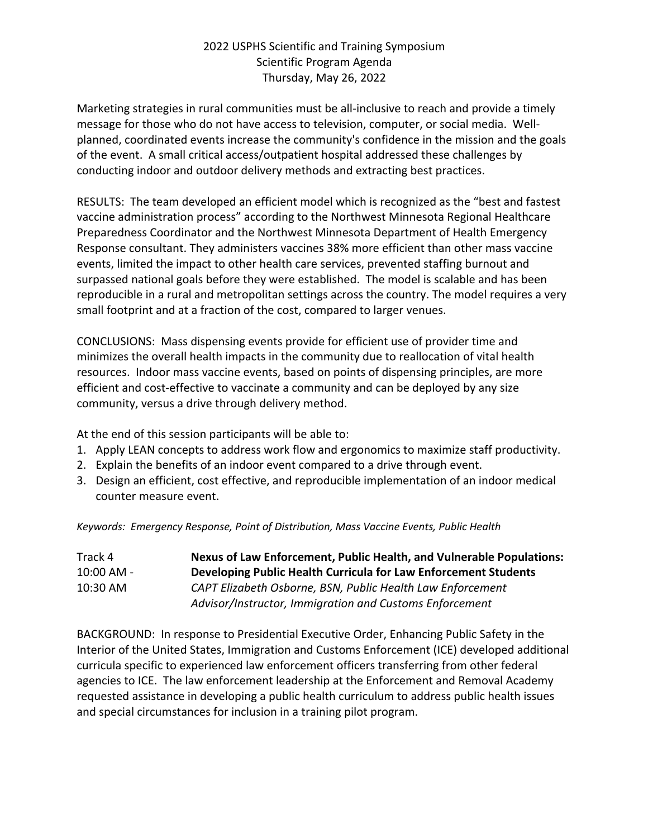Marketing strategies in rural communities must be all-inclusive to reach and provide a timely message for those who do not have access to television, computer, or social media. Wellplanned, coordinated events increase the community's confidence in the mission and the goals of the event. A small critical access/outpatient hospital addressed these challenges by conducting indoor and outdoor delivery methods and extracting best practices.

RESULTS: The team developed an efficient model which is recognized as the "best and fastest vaccine administration process" according to the Northwest Minnesota Regional Healthcare Preparedness Coordinator and the Northwest Minnesota Department of Health Emergency Response consultant. They administers vaccines 38% more efficient than other mass vaccine events, limited the impact to other health care services, prevented staffing burnout and surpassed national goals before they were established. The model is scalable and has been reproducible in a rural and metropolitan settings across the country. The model requires a very small footprint and at a fraction of the cost, compared to larger venues.

CONCLUSIONS: Mass dispensing events provide for efficient use of provider time and minimizes the overall health impacts in the community due to reallocation of vital health resources. Indoor mass vaccine events, based on points of dispensing principles, are more efficient and cost-effective to vaccinate a community and can be deployed by any size community, versus a drive through delivery method.

At the end of this session participants will be able to:

- 1. Apply LEAN concepts to address work flow and ergonomics to maximize staff productivity.
- 2. Explain the benefits of an indoor event compared to a drive through event.
- 3. Design an efficient, cost effective, and reproducible implementation of an indoor medical counter measure event.

*Keywords: Emergency Response, Point of Distribution, Mass Vaccine Events, Public Health*

| Track 4      | Nexus of Law Enforcement, Public Health, and Vulnerable Populations: |
|--------------|----------------------------------------------------------------------|
| $10:00$ AM - | Developing Public Health Curricula for Law Enforcement Students      |
| 10:30 AM     | CAPT Elizabeth Osborne, BSN, Public Health Law Enforcement           |
|              | Advisor/Instructor, Immigration and Customs Enforcement              |

BACKGROUND: In response to Presidential Executive Order, Enhancing Public Safety in the Interior of the United States, Immigration and Customs Enforcement (ICE) developed additional curricula specific to experienced law enforcement officers transferring from other federal agencies to ICE. The law enforcement leadership at the Enforcement and Removal Academy requested assistance in developing a public health curriculum to address public health issues and special circumstances for inclusion in a training pilot program.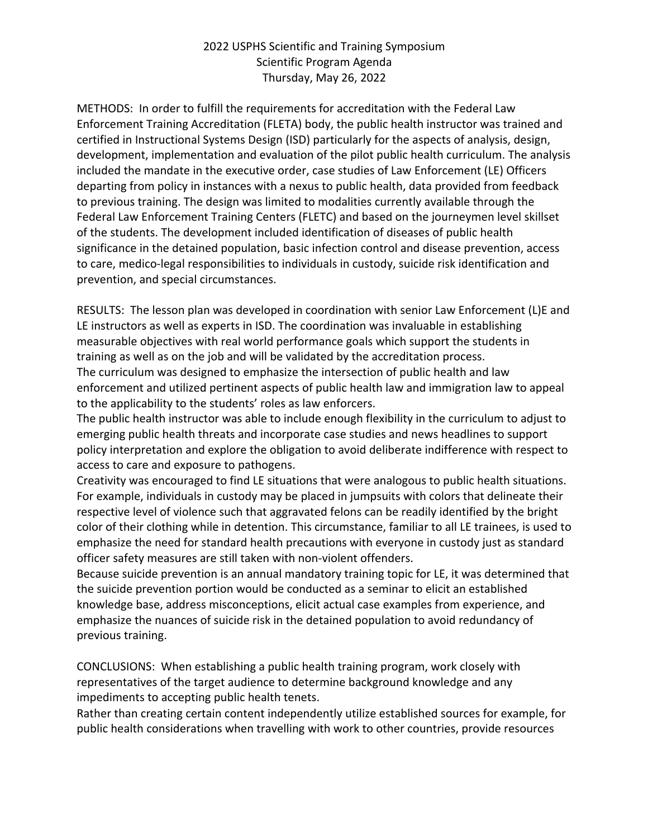METHODS: In order to fulfill the requirements for accreditation with the Federal Law Enforcement Training Accreditation (FLETA) body, the public health instructor was trained and certified in Instructional Systems Design (ISD) particularly for the aspects of analysis, design, development, implementation and evaluation of the pilot public health curriculum. The analysis included the mandate in the executive order, case studies of Law Enforcement (LE) Officers departing from policy in instances with a nexus to public health, data provided from feedback to previous training. The design was limited to modalities currently available through the Federal Law Enforcement Training Centers (FLETC) and based on the journeymen level skillset of the students. The development included identification of diseases of public health significance in the detained population, basic infection control and disease prevention, access to care, medico-legal responsibilities to individuals in custody, suicide risk identification and prevention, and special circumstances.

RESULTS: The lesson plan was developed in coordination with senior Law Enforcement (L)E and LE instructors as well as experts in ISD. The coordination was invaluable in establishing measurable objectives with real world performance goals which support the students in training as well as on the job and will be validated by the accreditation process.

The curriculum was designed to emphasize the intersection of public health and law enforcement and utilized pertinent aspects of public health law and immigration law to appeal to the applicability to the students' roles as law enforcers.

The public health instructor was able to include enough flexibility in the curriculum to adjust to emerging public health threats and incorporate case studies and news headlines to support policy interpretation and explore the obligation to avoid deliberate indifference with respect to access to care and exposure to pathogens.

Creativity was encouraged to find LE situations that were analogous to public health situations. For example, individuals in custody may be placed in jumpsuits with colors that delineate their respective level of violence such that aggravated felons can be readily identified by the bright color of their clothing while in detention. This circumstance, familiar to all LE trainees, is used to emphasize the need for standard health precautions with everyone in custody just as standard officer safety measures are still taken with non-violent offenders.

Because suicide prevention is an annual mandatory training topic for LE, it was determined that the suicide prevention portion would be conducted as a seminar to elicit an established knowledge base, address misconceptions, elicit actual case examples from experience, and emphasize the nuances of suicide risk in the detained population to avoid redundancy of previous training.

CONCLUSIONS: When establishing a public health training program, work closely with representatives of the target audience to determine background knowledge and any impediments to accepting public health tenets.

Rather than creating certain content independently utilize established sources for example, for public health considerations when travelling with work to other countries, provide resources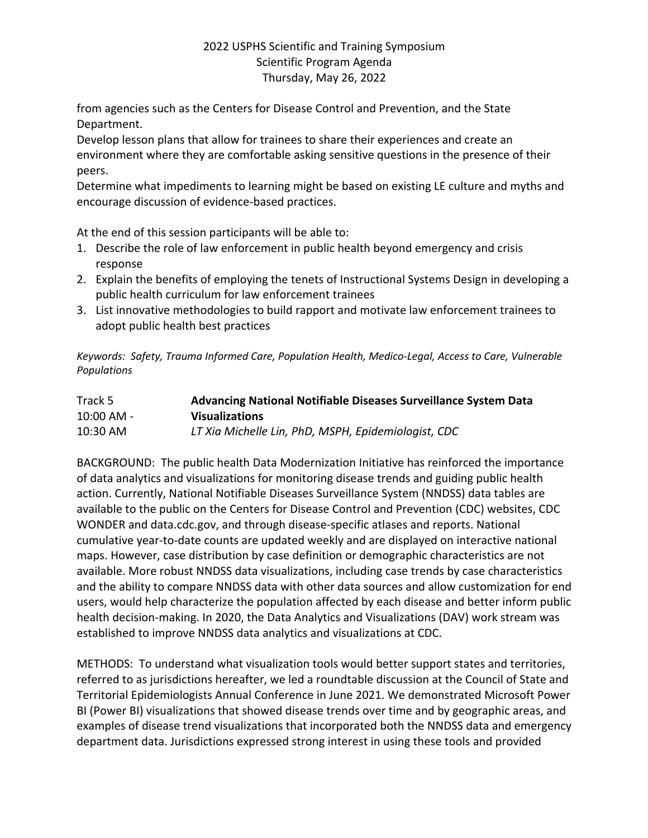from agencies such as the Centers for Disease Control and Prevention, and the State Department.

Develop lesson plans that allow for trainees to share their experiences and create an environment where they are comfortable asking sensitive questions in the presence of their peers.

Determine what impediments to learning might be based on existing LE culture and myths and encourage discussion of evidence-based practices.

At the end of this session participants will be able to:

- 1. Describe the role of law enforcement in public health beyond emergency and crisis response
- 2. Explain the benefits of employing the tenets of Instructional Systems Design in developing a public health curriculum for law enforcement trainees
- 3. List innovative methodologies to build rapport and motivate law enforcement trainees to adopt public health best practices

*Keywords: Safety, Trauma Informed Care, Population Health, Medico-Legal, Access to Care, Vulnerable Populations*

| Track 5    | Advancing National Notifiable Diseases Surveillance System Data |
|------------|-----------------------------------------------------------------|
| 10:00 AM - | <b>Visualizations</b>                                           |
| 10:30 AM   | LT Xia Michelle Lin, PhD, MSPH, Epidemiologist, CDC             |

BACKGROUND: The public health Data Modernization Initiative has reinforced the importance of data analytics and visualizations for monitoring disease trends and guiding public health action. Currently, National Notifiable Diseases Surveillance System (NNDSS) data tables are available to the public on the Centers for Disease Control and Prevention (CDC) websites, CDC WONDER and data.cdc.gov, and through disease-specific atlases and reports. National cumulative year-to-date counts are updated weekly and are displayed on interactive national maps. However, case distribution by case definition or demographic characteristics are not available. More robust NNDSS data visualizations, including case trends by case characteristics and the ability to compare NNDSS data with other data sources and allow customization for end users, would help characterize the population affected by each disease and better inform public health decision-making. In 2020, the Data Analytics and Visualizations (DAV) work stream was established to improve NNDSS data analytics and visualizations at CDC.

METHODS: To understand what visualization tools would better support states and territories, referred to as jurisdictions hereafter, we led a roundtable discussion at the Council of State and Territorial Epidemiologists Annual Conference in June 2021. We demonstrated Microsoft Power BI (Power BI) visualizations that showed disease trends over time and by geographic areas, and examples of disease trend visualizations that incorporated both the NNDSS data and emergency department data. Jurisdictions expressed strong interest in using these tools and provided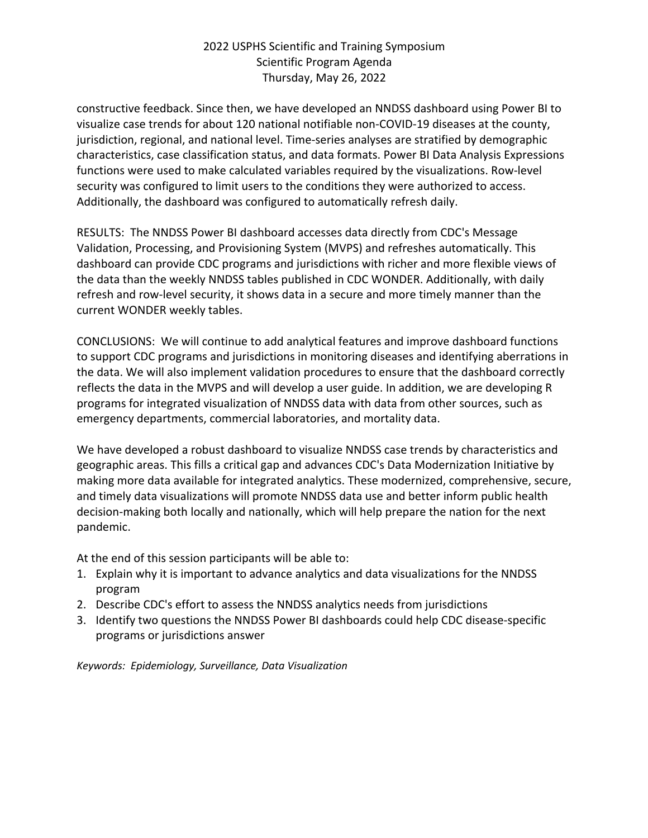constructive feedback. Since then, we have developed an NNDSS dashboard using Power BI to visualize case trends for about 120 national notifiable non-COVID-19 diseases at the county, jurisdiction, regional, and national level. Time-series analyses are stratified by demographic characteristics, case classification status, and data formats. Power BI Data Analysis Expressions functions were used to make calculated variables required by the visualizations. Row-level security was configured to limit users to the conditions they were authorized to access. Additionally, the dashboard was configured to automatically refresh daily.

RESULTS: The NNDSS Power BI dashboard accesses data directly from CDC's Message Validation, Processing, and Provisioning System (MVPS) and refreshes automatically. This dashboard can provide CDC programs and jurisdictions with richer and more flexible views of the data than the weekly NNDSS tables published in CDC WONDER. Additionally, with daily refresh and row-level security, it shows data in a secure and more timely manner than the current WONDER weekly tables.

CONCLUSIONS: We will continue to add analytical features and improve dashboard functions to support CDC programs and jurisdictions in monitoring diseases and identifying aberrations in the data. We will also implement validation procedures to ensure that the dashboard correctly reflects the data in the MVPS and will develop a user guide. In addition, we are developing R programs for integrated visualization of NNDSS data with data from other sources, such as emergency departments, commercial laboratories, and mortality data.

We have developed a robust dashboard to visualize NNDSS case trends by characteristics and geographic areas. This fills a critical gap and advances CDC's Data Modernization Initiative by making more data available for integrated analytics. These modernized, comprehensive, secure, and timely data visualizations will promote NNDSS data use and better inform public health decision-making both locally and nationally, which will help prepare the nation for the next pandemic.

At the end of this session participants will be able to:

- 1. Explain why it is important to advance analytics and data visualizations for the NNDSS program
- 2. Describe CDC's effort to assess the NNDSS analytics needs from jurisdictions
- 3. Identify two questions the NNDSS Power BI dashboards could help CDC disease-specific programs or jurisdictions answer

*Keywords: Epidemiology, Surveillance, Data Visualization*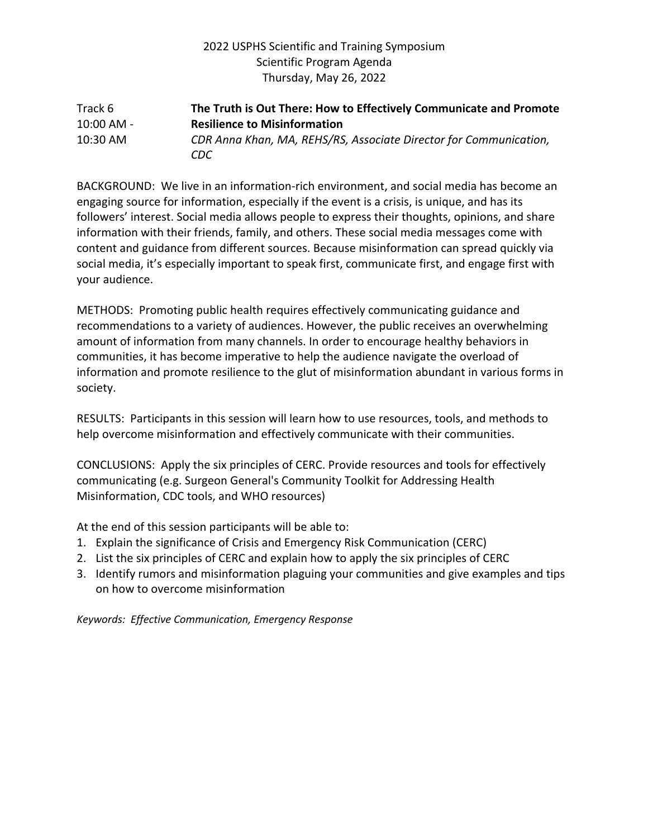#### Track 6 **The Truth is Out There: How to Effectively Communicate and Promote**  10:00 AM - **Resilience to Misinformation** 10:30 AM *CDR Anna Khan, MA, REHS/RS, Associate Director for Communication, CDC*

BACKGROUND: We live in an information-rich environment, and social media has become an engaging source for information, especially if the event is a crisis, is unique, and has its followers' interest. Social media allows people to express their thoughts, opinions, and share information with their friends, family, and others. These social media messages come with content and guidance from different sources. Because misinformation can spread quickly via social media, it's especially important to speak first, communicate first, and engage first with your audience.

METHODS: Promoting public health requires effectively communicating guidance and recommendations to a variety of audiences. However, the public receives an overwhelming amount of information from many channels. In order to encourage healthy behaviors in communities, it has become imperative to help the audience navigate the overload of information and promote resilience to the glut of misinformation abundant in various forms in society.

RESULTS: Participants in this session will learn how to use resources, tools, and methods to help overcome misinformation and effectively communicate with their communities.

CONCLUSIONS: Apply the six principles of CERC. Provide resources and tools for effectively communicating (e.g. Surgeon General's Community Toolkit for Addressing Health Misinformation, CDC tools, and WHO resources)

At the end of this session participants will be able to:

- 1. Explain the significance of Crisis and Emergency Risk Communication (CERC)
- 2. List the six principles of CERC and explain how to apply the six principles of CERC
- 3. Identify rumors and misinformation plaguing your communities and give examples and tips on how to overcome misinformation

*Keywords: Effective Communication, Emergency Response*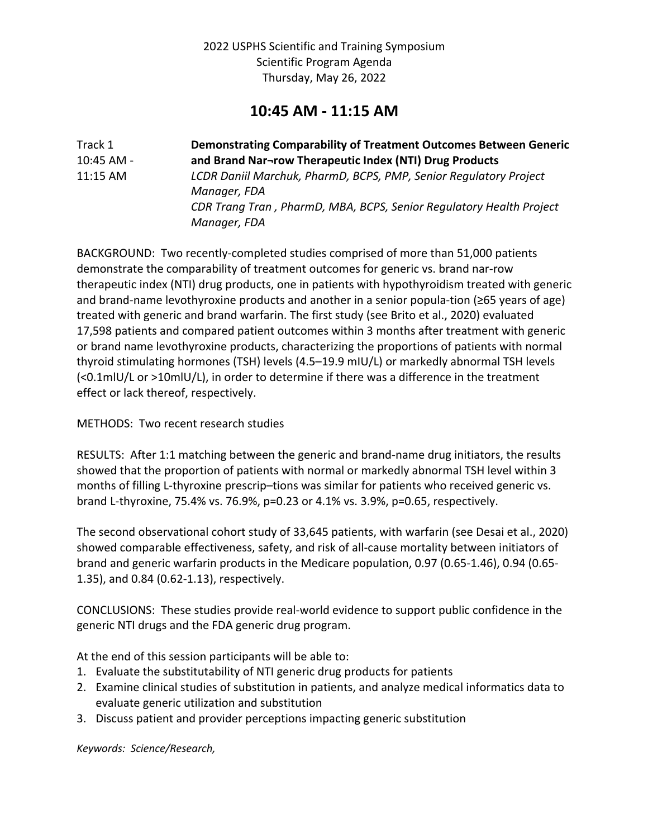# **10:45 AM - 11:15 AM**

| Track 1    | Demonstrating Comparability of Treatment Outcomes Between Generic   |
|------------|---------------------------------------------------------------------|
| 10:45 AM - | and Brand Nar-row Therapeutic Index (NTI) Drug Products             |
| 11:15 AM   | LCDR Daniil Marchuk, PharmD, BCPS, PMP, Senior Regulatory Project   |
|            | Manager, FDA                                                        |
|            | CDR Trang Tran, PharmD, MBA, BCPS, Senior Regulatory Health Project |
|            | Manager, FDA                                                        |

BACKGROUND: Two recently-completed studies comprised of more than 51,000 patients demonstrate the comparability of treatment outcomes for generic vs. brand nar-row therapeutic index (NTI) drug products, one in patients with hypothyroidism treated with generic and brand-name levothyroxine products and another in a senior popula-tion (≥65 years of age) treated with generic and brand warfarin. The first study (see Brito et al., 2020) evaluated 17,598 patients and compared patient outcomes within 3 months after treatment with generic or brand name levothyroxine products, characterizing the proportions of patients with normal thyroid stimulating hormones (TSH) levels (4.5–19.9 mIU/L) or markedly abnormal TSH levels (<0.1mlU/L or >10mlU/L), in order to determine if there was a difference in the treatment effect or lack thereof, respectively.

METHODS: Two recent research studies

RESULTS: After 1:1 matching between the generic and brand-name drug initiators, the results showed that the proportion of patients with normal or markedly abnormal TSH level within 3 months of filling L-thyroxine prescrip–tions was similar for patients who received generic vs. brand L-thyroxine, 75.4% vs. 76.9%, p=0.23 or 4.1% vs. 3.9%, p=0.65, respectively.

The second observational cohort study of 33,645 patients, with warfarin (see Desai et al., 2020) showed comparable effectiveness, safety, and risk of all-cause mortality between initiators of brand and generic warfarin products in the Medicare population, 0.97 (0.65-1.46), 0.94 (0.65- 1.35), and 0.84 (0.62-1.13), respectively.

CONCLUSIONS: These studies provide real-world evidence to support public confidence in the generic NTI drugs and the FDA generic drug program.

At the end of this session participants will be able to:

- 1. Evaluate the substitutability of NTI generic drug products for patients
- 2. Examine clinical studies of substitution in patients, and analyze medical informatics data to evaluate generic utilization and substitution
- 3. Discuss patient and provider perceptions impacting generic substitution

*Keywords: Science/Research,*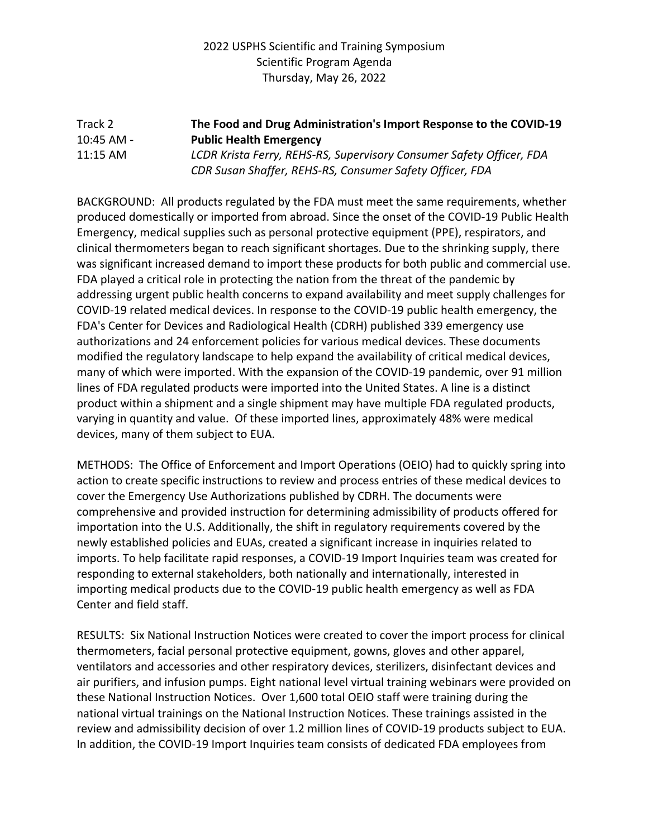## Track 2 **The Food and Drug Administration's Import Response to the COVID-19**  10:45 AM - **Public Health Emergency** 11:15 AM *LCDR Krista Ferry, REHS-RS, Supervisory Consumer Safety Officer, FDA*

*CDR Susan Shaffer, REHS-RS, Consumer Safety Officer, FDA*

BACKGROUND: All products regulated by the FDA must meet the same requirements, whether produced domestically or imported from abroad. Since the onset of the COVID-19 Public Health Emergency, medical supplies such as personal protective equipment (PPE), respirators, and clinical thermometers began to reach significant shortages. Due to the shrinking supply, there was significant increased demand to import these products for both public and commercial use. FDA played a critical role in protecting the nation from the threat of the pandemic by addressing urgent public health concerns to expand availability and meet supply challenges for COVID-19 related medical devices. In response to the COVID-19 public health emergency, the FDA's Center for Devices and Radiological Health (CDRH) published 339 emergency use authorizations and 24 enforcement policies for various medical devices. These documents modified the regulatory landscape to help expand the availability of critical medical devices, many of which were imported. With the expansion of the COVID-19 pandemic, over 91 million lines of FDA regulated products were imported into the United States. A line is a distinct product within a shipment and a single shipment may have multiple FDA regulated products, varying in quantity and value. Of these imported lines, approximately 48% were medical devices, many of them subject to EUA.

METHODS: The Office of Enforcement and Import Operations (OEIO) had to quickly spring into action to create specific instructions to review and process entries of these medical devices to cover the Emergency Use Authorizations published by CDRH. The documents were comprehensive and provided instruction for determining admissibility of products offered for importation into the U.S. Additionally, the shift in regulatory requirements covered by the newly established policies and EUAs, created a significant increase in inquiries related to imports. To help facilitate rapid responses, a COVID-19 Import Inquiries team was created for responding to external stakeholders, both nationally and internationally, interested in importing medical products due to the COVID-19 public health emergency as well as FDA Center and field staff.

RESULTS: Six National Instruction Notices were created to cover the import process for clinical thermometers, facial personal protective equipment, gowns, gloves and other apparel, ventilators and accessories and other respiratory devices, sterilizers, disinfectant devices and air purifiers, and infusion pumps. Eight national level virtual training webinars were provided on these National Instruction Notices. Over 1,600 total OEIO staff were training during the national virtual trainings on the National Instruction Notices. These trainings assisted in the review and admissibility decision of over 1.2 million lines of COVID-19 products subject to EUA. In addition, the COVID-19 Import Inquiries team consists of dedicated FDA employees from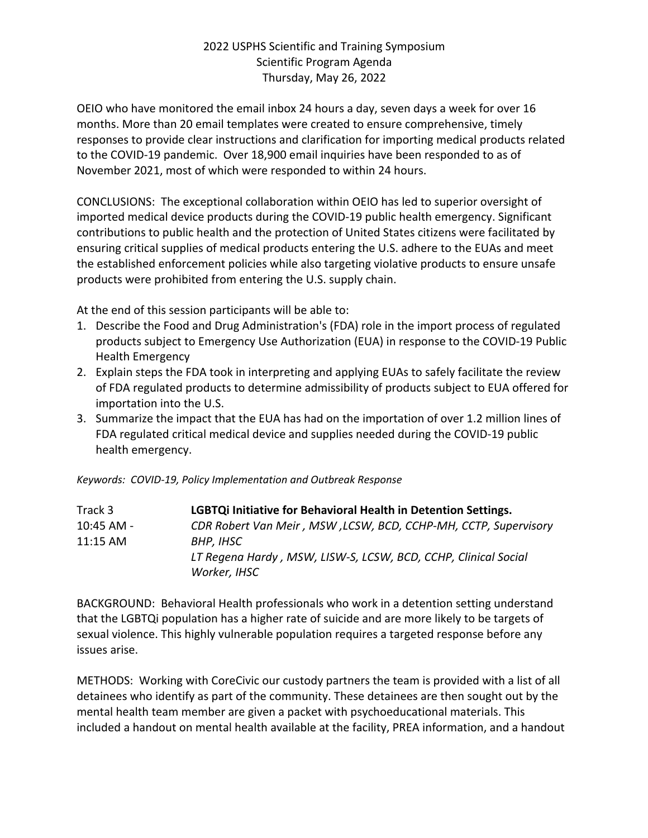OEIO who have monitored the email inbox 24 hours a day, seven days a week for over 16 months. More than 20 email templates were created to ensure comprehensive, timely responses to provide clear instructions and clarification for importing medical products related to the COVID-19 pandemic. Over 18,900 email inquiries have been responded to as of November 2021, most of which were responded to within 24 hours.

CONCLUSIONS: The exceptional collaboration within OEIO has led to superior oversight of imported medical device products during the COVID-19 public health emergency. Significant contributions to public health and the protection of United States citizens were facilitated by ensuring critical supplies of medical products entering the U.S. adhere to the EUAs and meet the established enforcement policies while also targeting violative products to ensure unsafe products were prohibited from entering the U.S. supply chain.

At the end of this session participants will be able to:

- 1. Describe the Food and Drug Administration's (FDA) role in the import process of regulated products subject to Emergency Use Authorization (EUA) in response to the COVID-19 Public Health Emergency
- 2. Explain steps the FDA took in interpreting and applying EUAs to safely facilitate the review of FDA regulated products to determine admissibility of products subject to EUA offered for importation into the U.S.
- 3. Summarize the impact that the EUA has had on the importation of over 1.2 million lines of FDA regulated critical medical device and supplies needed during the COVID-19 public health emergency.

*Keywords: COVID-19, Policy Implementation and Outbreak Response*

| Track 3    | LGBTQi Initiative for Behavioral Health in Detention Settings.  |
|------------|-----------------------------------------------------------------|
| 10:45 AM - | CDR Robert Van Meir, MSW, LCSW, BCD, CCHP-MH, CCTP, Supervisory |
| $11:15$ AM | BHP, IHSC                                                       |
|            | LT Regena Hardy, MSW, LISW-S, LCSW, BCD, CCHP, Clinical Social  |
|            | Worker, IHSC                                                    |

BACKGROUND: Behavioral Health professionals who work in a detention setting understand that the LGBTQi population has a higher rate of suicide and are more likely to be targets of sexual violence. This highly vulnerable population requires a targeted response before any issues arise.

METHODS: Working with CoreCivic our custody partners the team is provided with a list of all detainees who identify as part of the community. These detainees are then sought out by the mental health team member are given a packet with psychoeducational materials. This included a handout on mental health available at the facility, PREA information, and a handout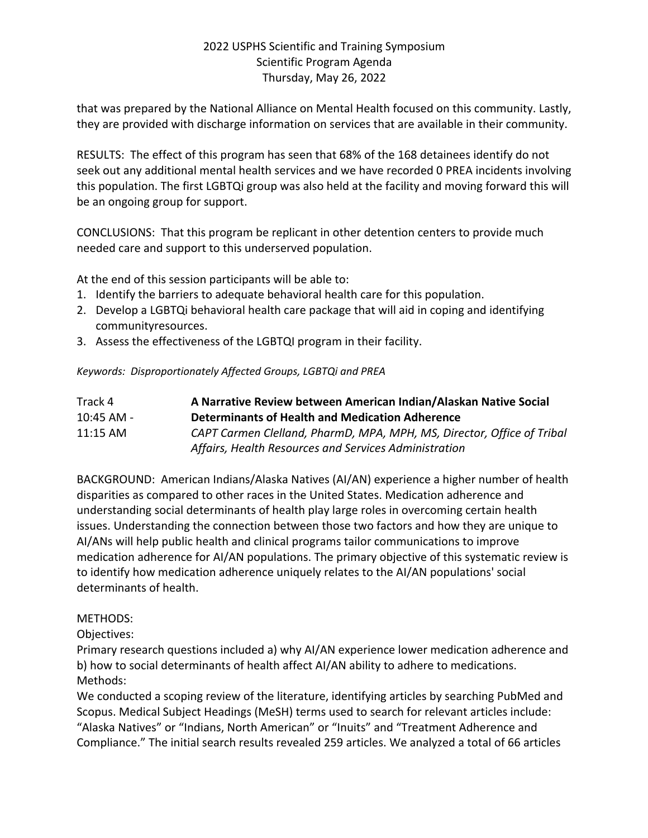that was prepared by the National Alliance on Mental Health focused on this community. Lastly, they are provided with discharge information on services that are available in their community.

RESULTS: The effect of this program has seen that 68% of the 168 detainees identify do not seek out any additional mental health services and we have recorded 0 PREA incidents involving this population. The first LGBTQi group was also held at the facility and moving forward this will be an ongoing group for support.

CONCLUSIONS: That this program be replicant in other detention centers to provide much needed care and support to this underserved population.

At the end of this session participants will be able to:

- 1. Identify the barriers to adequate behavioral health care for this population.
- 2. Develop a LGBTQi behavioral health care package that will aid in coping and identifying communityresources.
- 3. Assess the effectiveness of the LGBTQI program in their facility.

*Keywords: Disproportionately Affected Groups, LGBTQi and PREA*

| Track 4      | A Narrative Review between American Indian/Alaskan Native Social       |
|--------------|------------------------------------------------------------------------|
| $10:45$ AM - | Determinants of Health and Medication Adherence                        |
| $11:15$ AM   | CAPT Carmen Clelland, PharmD, MPA, MPH, MS, Director, Office of Tribal |
|              | Affairs, Health Resources and Services Administration                  |

BACKGROUND: American Indians/Alaska Natives (AI/AN) experience a higher number of health disparities as compared to other races in the United States. Medication adherence and understanding social determinants of health play large roles in overcoming certain health issues. Understanding the connection between those two factors and how they are unique to AI/ANs will help public health and clinical programs tailor communications to improve medication adherence for AI/AN populations. The primary objective of this systematic review is to identify how medication adherence uniquely relates to the AI/AN populations' social determinants of health.

#### METHODS:

Objectives:

Primary research questions included a) why AI/AN experience lower medication adherence and b) how to social determinants of health affect AI/AN ability to adhere to medications. Methods:

We conducted a scoping review of the literature, identifying articles by searching PubMed and Scopus. Medical Subject Headings (MeSH) terms used to search for relevant articles include: "Alaska Natives" or "Indians, North American" or "Inuits" and "Treatment Adherence and Compliance." The initial search results revealed 259 articles. We analyzed a total of 66 articles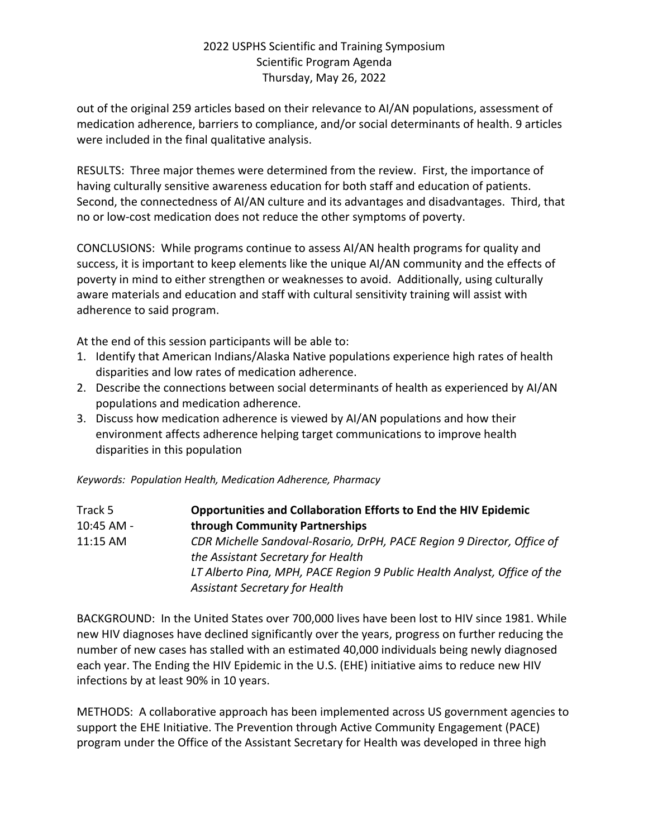out of the original 259 articles based on their relevance to AI/AN populations, assessment of medication adherence, barriers to compliance, and/or social determinants of health. 9 articles were included in the final qualitative analysis.

RESULTS: Three major themes were determined from the review. First, the importance of having culturally sensitive awareness education for both staff and education of patients. Second, the connectedness of AI/AN culture and its advantages and disadvantages. Third, that no or low-cost medication does not reduce the other symptoms of poverty.

CONCLUSIONS: While programs continue to assess AI/AN health programs for quality and success, it is important to keep elements like the unique AI/AN community and the effects of poverty in mind to either strengthen or weaknesses to avoid. Additionally, using culturally aware materials and education and staff with cultural sensitivity training will assist with adherence to said program.

At the end of this session participants will be able to:

- 1. Identify that American Indians/Alaska Native populations experience high rates of health disparities and low rates of medication adherence.
- 2. Describe the connections between social determinants of health as experienced by AI/AN populations and medication adherence.
- 3. Discuss how medication adherence is viewed by AI/AN populations and how their environment affects adherence helping target communications to improve health disparities in this population

*Keywords: Population Health, Medication Adherence, Pharmacy*

| Track 5    | <b>Opportunities and Collaboration Efforts to End the HIV Epidemic</b>                                            |
|------------|-------------------------------------------------------------------------------------------------------------------|
| 10:45 AM - | through Community Partnerships                                                                                    |
| 11:15 AM   | CDR Michelle Sandoval-Rosario, DrPH, PACE Region 9 Director, Office of<br>the Assistant Secretary for Health      |
|            | LT Alberto Pina, MPH, PACE Region 9 Public Health Analyst, Office of the<br><b>Assistant Secretary for Health</b> |

BACKGROUND: In the United States over 700,000 lives have been lost to HIV since 1981. While new HIV diagnoses have declined significantly over the years, progress on further reducing the number of new cases has stalled with an estimated 40,000 individuals being newly diagnosed each year. The Ending the HIV Epidemic in the U.S. (EHE) initiative aims to reduce new HIV infections by at least 90% in 10 years.

METHODS: A collaborative approach has been implemented across US government agencies to support the EHE Initiative. The Prevention through Active Community Engagement (PACE) program under the Office of the Assistant Secretary for Health was developed in three high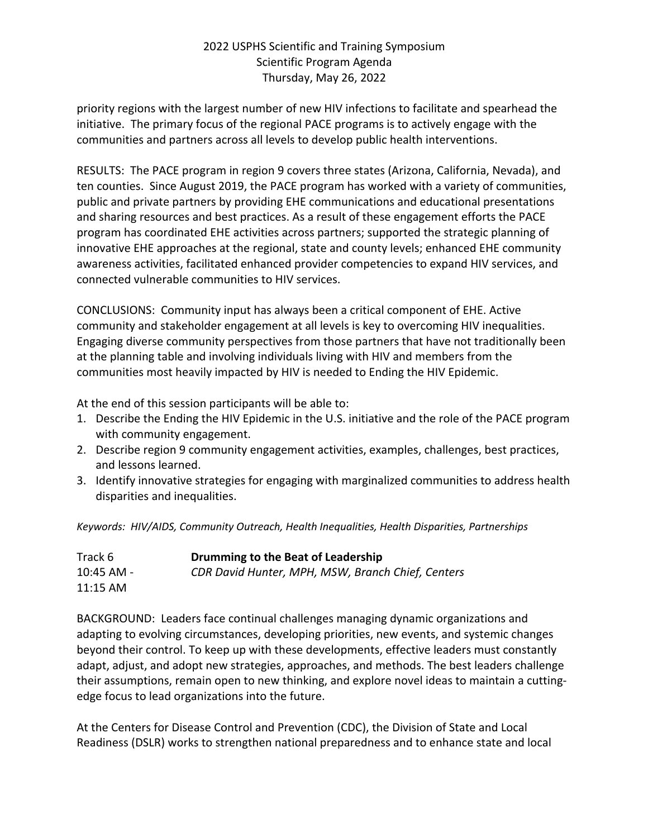priority regions with the largest number of new HIV infections to facilitate and spearhead the initiative. The primary focus of the regional PACE programs is to actively engage with the communities and partners across all levels to develop public health interventions.

RESULTS: The PACE program in region 9 covers three states (Arizona, California, Nevada), and ten counties. Since August 2019, the PACE program has worked with a variety of communities, public and private partners by providing EHE communications and educational presentations and sharing resources and best practices. As a result of these engagement efforts the PACE program has coordinated EHE activities across partners; supported the strategic planning of innovative EHE approaches at the regional, state and county levels; enhanced EHE community awareness activities, facilitated enhanced provider competencies to expand HIV services, and connected vulnerable communities to HIV services.

CONCLUSIONS: Community input has always been a critical component of EHE. Active community and stakeholder engagement at all levels is key to overcoming HIV inequalities. Engaging diverse community perspectives from those partners that have not traditionally been at the planning table and involving individuals living with HIV and members from the communities most heavily impacted by HIV is needed to Ending the HIV Epidemic.

At the end of this session participants will be able to:

- 1. Describe the Ending the HIV Epidemic in the U.S. initiative and the role of the PACE program with community engagement.
- 2. Describe region 9 community engagement activities, examples, challenges, best practices, and lessons learned.
- 3. Identify innovative strategies for engaging with marginalized communities to address health disparities and inequalities.

*Keywords: HIV/AIDS, Community Outreach, Health Inequalities, Health Disparities, Partnerships*

| Track 6    | Drumming to the Beat of Leadership                |
|------------|---------------------------------------------------|
| 10:45 AM - | CDR David Hunter, MPH, MSW, Branch Chief, Centers |
| 11:15 AM   |                                                   |

BACKGROUND: Leaders face continual challenges managing dynamic organizations and adapting to evolving circumstances, developing priorities, new events, and systemic changes beyond their control. To keep up with these developments, effective leaders must constantly adapt, adjust, and adopt new strategies, approaches, and methods. The best leaders challenge their assumptions, remain open to new thinking, and explore novel ideas to maintain a cuttingedge focus to lead organizations into the future.

At the Centers for Disease Control and Prevention (CDC), the Division of State and Local Readiness (DSLR) works to strengthen national preparedness and to enhance state and local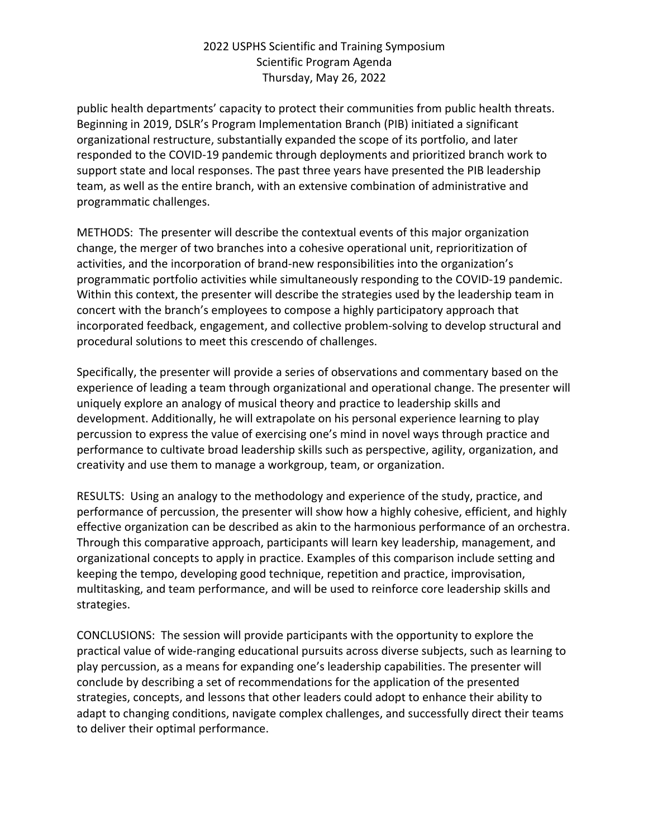public health departments' capacity to protect their communities from public health threats. Beginning in 2019, DSLR's Program Implementation Branch (PIB) initiated a significant organizational restructure, substantially expanded the scope of its portfolio, and later responded to the COVID-19 pandemic through deployments and prioritized branch work to support state and local responses. The past three years have presented the PIB leadership team, as well as the entire branch, with an extensive combination of administrative and programmatic challenges.

METHODS: The presenter will describe the contextual events of this major organization change, the merger of two branches into a cohesive operational unit, reprioritization of activities, and the incorporation of brand-new responsibilities into the organization's programmatic portfolio activities while simultaneously responding to the COVID-19 pandemic. Within this context, the presenter will describe the strategies used by the leadership team in concert with the branch's employees to compose a highly participatory approach that incorporated feedback, engagement, and collective problem-solving to develop structural and procedural solutions to meet this crescendo of challenges.

Specifically, the presenter will provide a series of observations and commentary based on the experience of leading a team through organizational and operational change. The presenter will uniquely explore an analogy of musical theory and practice to leadership skills and development. Additionally, he will extrapolate on his personal experience learning to play percussion to express the value of exercising one's mind in novel ways through practice and performance to cultivate broad leadership skills such as perspective, agility, organization, and creativity and use them to manage a workgroup, team, or organization.

RESULTS: Using an analogy to the methodology and experience of the study, practice, and performance of percussion, the presenter will show how a highly cohesive, efficient, and highly effective organization can be described as akin to the harmonious performance of an orchestra. Through this comparative approach, participants will learn key leadership, management, and organizational concepts to apply in practice. Examples of this comparison include setting and keeping the tempo, developing good technique, repetition and practice, improvisation, multitasking, and team performance, and will be used to reinforce core leadership skills and strategies.

CONCLUSIONS: The session will provide participants with the opportunity to explore the practical value of wide-ranging educational pursuits across diverse subjects, such as learning to play percussion, as a means for expanding one's leadership capabilities. The presenter will conclude by describing a set of recommendations for the application of the presented strategies, concepts, and lessons that other leaders could adopt to enhance their ability to adapt to changing conditions, navigate complex challenges, and successfully direct their teams to deliver their optimal performance.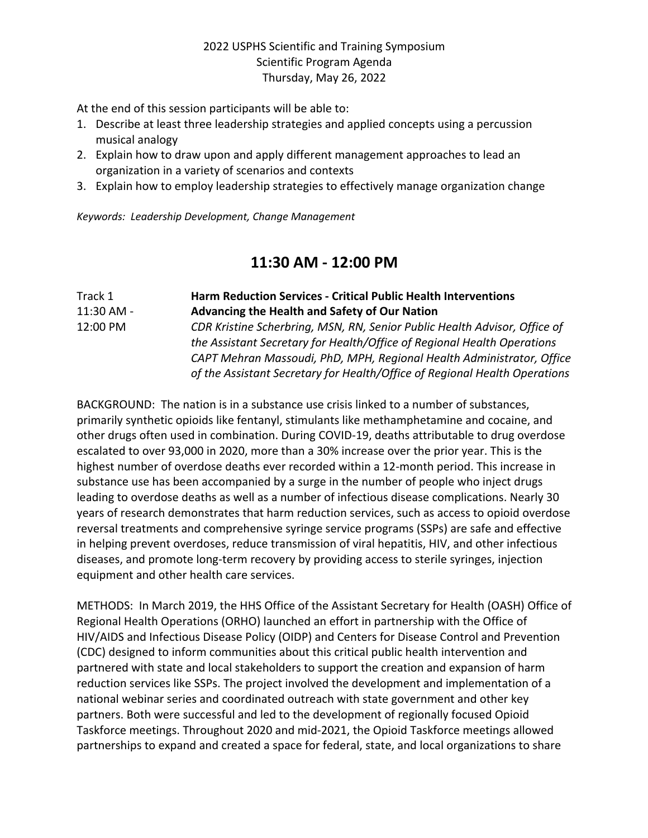At the end of this session participants will be able to:

- 1. Describe at least three leadership strategies and applied concepts using a percussion musical analogy
- 2. Explain how to draw upon and apply different management approaches to lead an organization in a variety of scenarios and contexts
- 3. Explain how to employ leadership strategies to effectively manage organization change

*Keywords: Leadership Development, Change Management*

# **11:30 AM - 12:00 PM**

| Track 1    | <b>Harm Reduction Services - Critical Public Health Interventions</b>      |  |
|------------|----------------------------------------------------------------------------|--|
| 11:30 AM - | Advancing the Health and Safety of Our Nation                              |  |
| 12:00 PM   | CDR Kristine Scherbring, MSN, RN, Senior Public Health Advisor, Office of  |  |
|            | the Assistant Secretary for Health/Office of Regional Health Operations    |  |
|            | CAPT Mehran Massoudi, PhD, MPH, Regional Health Administrator, Office      |  |
|            | of the Assistant Secretary for Health/Office of Regional Health Operations |  |

BACKGROUND: The nation is in a substance use crisis linked to a number of substances, primarily synthetic opioids like fentanyl, stimulants like methamphetamine and cocaine, and other drugs often used in combination. During COVID-19, deaths attributable to drug overdose escalated to over 93,000 in 2020, more than a 30% increase over the prior year. This is the highest number of overdose deaths ever recorded within a 12-month period. This increase in substance use has been accompanied by a surge in the number of people who inject drugs leading to overdose deaths as well as a number of infectious disease complications. Nearly 30 years of research demonstrates that harm reduction services, such as access to opioid overdose reversal treatments and comprehensive syringe service programs (SSPs) are safe and effective in helping prevent overdoses, reduce transmission of viral hepatitis, HIV, and other infectious diseases, and promote long-term recovery by providing access to sterile syringes, injection equipment and other health care services.

METHODS: In March 2019, the HHS Office of the Assistant Secretary for Health (OASH) Office of Regional Health Operations (ORHO) launched an effort in partnership with the Office of HIV/AIDS and Infectious Disease Policy (OIDP) and Centers for Disease Control and Prevention (CDC) designed to inform communities about this critical public health intervention and partnered with state and local stakeholders to support the creation and expansion of harm reduction services like SSPs. The project involved the development and implementation of a national webinar series and coordinated outreach with state government and other key partners. Both were successful and led to the development of regionally focused Opioid Taskforce meetings. Throughout 2020 and mid-2021, the Opioid Taskforce meetings allowed partnerships to expand and created a space for federal, state, and local organizations to share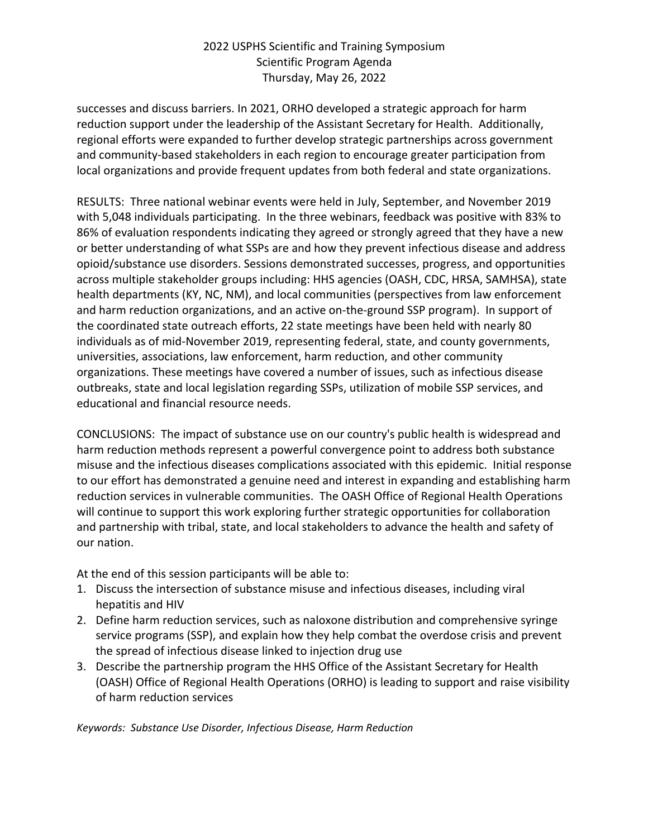successes and discuss barriers. In 2021, ORHO developed a strategic approach for harm reduction support under the leadership of the Assistant Secretary for Health. Additionally, regional efforts were expanded to further develop strategic partnerships across government and community-based stakeholders in each region to encourage greater participation from local organizations and provide frequent updates from both federal and state organizations.

RESULTS: Three national webinar events were held in July, September, and November 2019 with 5,048 individuals participating. In the three webinars, feedback was positive with 83% to 86% of evaluation respondents indicating they agreed or strongly agreed that they have a new or better understanding of what SSPs are and how they prevent infectious disease and address opioid/substance use disorders. Sessions demonstrated successes, progress, and opportunities across multiple stakeholder groups including: HHS agencies (OASH, CDC, HRSA, SAMHSA), state health departments (KY, NC, NM), and local communities (perspectives from law enforcement and harm reduction organizations, and an active on-the-ground SSP program). In support of the coordinated state outreach efforts, 22 state meetings have been held with nearly 80 individuals as of mid-November 2019, representing federal, state, and county governments, universities, associations, law enforcement, harm reduction, and other community organizations. These meetings have covered a number of issues, such as infectious disease outbreaks, state and local legislation regarding SSPs, utilization of mobile SSP services, and educational and financial resource needs.

CONCLUSIONS: The impact of substance use on our country's public health is widespread and harm reduction methods represent a powerful convergence point to address both substance misuse and the infectious diseases complications associated with this epidemic. Initial response to our effort has demonstrated a genuine need and interest in expanding and establishing harm reduction services in vulnerable communities. The OASH Office of Regional Health Operations will continue to support this work exploring further strategic opportunities for collaboration and partnership with tribal, state, and local stakeholders to advance the health and safety of our nation.

At the end of this session participants will be able to:

- 1. Discuss the intersection of substance misuse and infectious diseases, including viral hepatitis and HIV
- 2. Define harm reduction services, such as naloxone distribution and comprehensive syringe service programs (SSP), and explain how they help combat the overdose crisis and prevent the spread of infectious disease linked to injection drug use
- 3. Describe the partnership program the HHS Office of the Assistant Secretary for Health (OASH) Office of Regional Health Operations (ORHO) is leading to support and raise visibility of harm reduction services

*Keywords: Substance Use Disorder, Infectious Disease, Harm Reduction*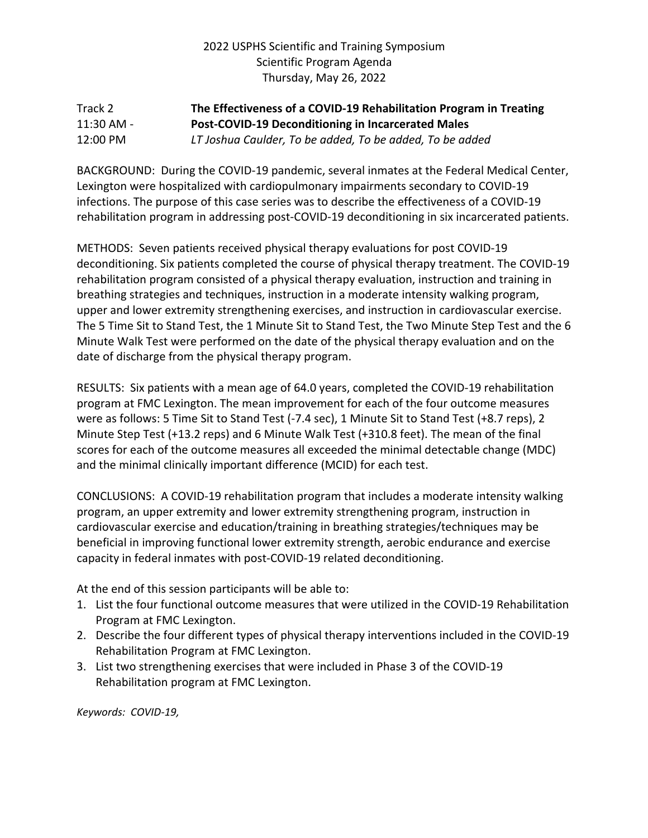### Track 2 **The Effectiveness of a COVID-19 Rehabilitation Program in Treating**  11:30 AM - **Post-COVID-19 Deconditioning in Incarcerated Males** 12:00 PM *LT Joshua Caulder, To be added, To be added, To be added*

BACKGROUND: During the COVID-19 pandemic, several inmates at the Federal Medical Center, Lexington were hospitalized with cardiopulmonary impairments secondary to COVID-19 infections. The purpose of this case series was to describe the effectiveness of a COVID-19 rehabilitation program in addressing post-COVID-19 deconditioning in six incarcerated patients.

METHODS: Seven patients received physical therapy evaluations for post COVID-19 deconditioning. Six patients completed the course of physical therapy treatment. The COVID-19 rehabilitation program consisted of a physical therapy evaluation, instruction and training in breathing strategies and techniques, instruction in a moderate intensity walking program, upper and lower extremity strengthening exercises, and instruction in cardiovascular exercise. The 5 Time Sit to Stand Test, the 1 Minute Sit to Stand Test, the Two Minute Step Test and the 6 Minute Walk Test were performed on the date of the physical therapy evaluation and on the date of discharge from the physical therapy program.

RESULTS: Six patients with a mean age of 64.0 years, completed the COVID-19 rehabilitation program at FMC Lexington. The mean improvement for each of the four outcome measures were as follows: 5 Time Sit to Stand Test (-7.4 sec), 1 Minute Sit to Stand Test (+8.7 reps), 2 Minute Step Test (+13.2 reps) and 6 Minute Walk Test (+310.8 feet). The mean of the final scores for each of the outcome measures all exceeded the minimal detectable change (MDC) and the minimal clinically important difference (MCID) for each test.

CONCLUSIONS: A COVID-19 rehabilitation program that includes a moderate intensity walking program, an upper extremity and lower extremity strengthening program, instruction in cardiovascular exercise and education/training in breathing strategies/techniques may be beneficial in improving functional lower extremity strength, aerobic endurance and exercise capacity in federal inmates with post-COVID-19 related deconditioning.

At the end of this session participants will be able to:

- 1. List the four functional outcome measures that were utilized in the COVID-19 Rehabilitation Program at FMC Lexington.
- 2. Describe the four different types of physical therapy interventions included in the COVID-19 Rehabilitation Program at FMC Lexington.
- 3. List two strengthening exercises that were included in Phase 3 of the COVID-19 Rehabilitation program at FMC Lexington.

*Keywords: COVID-19,*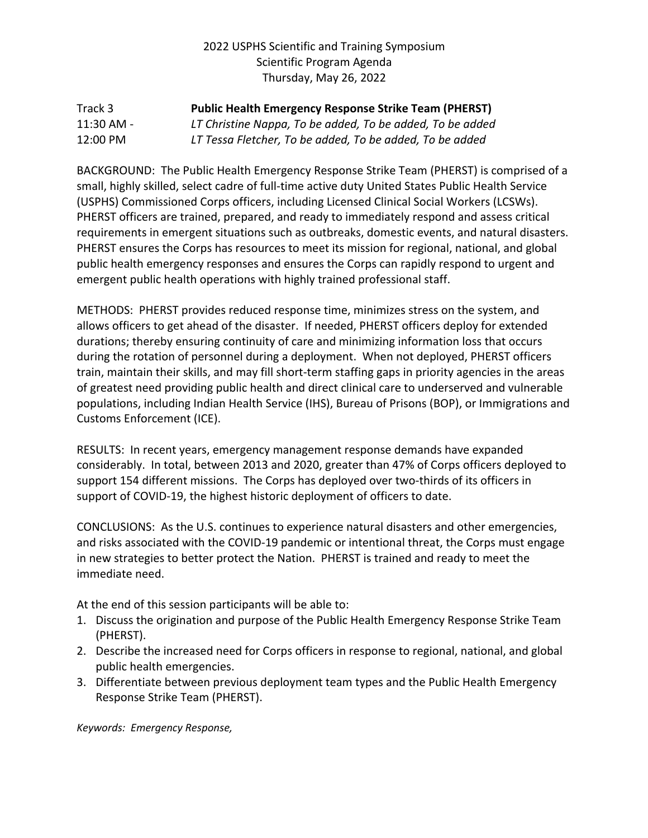#### Track 3 **Public Health Emergency Response Strike Team (PHERST)** 11:30 AM - *LT Christine Nappa, To be added, To be added, To be added* 12:00 PM *LT Tessa Fletcher, To be added, To be added, To be added*

BACKGROUND: The Public Health Emergency Response Strike Team (PHERST) is comprised of a small, highly skilled, select cadre of full-time active duty United States Public Health Service (USPHS) Commissioned Corps officers, including Licensed Clinical Social Workers (LCSWs). PHERST officers are trained, prepared, and ready to immediately respond and assess critical requirements in emergent situations such as outbreaks, domestic events, and natural disasters. PHERST ensures the Corps has resources to meet its mission for regional, national, and global public health emergency responses and ensures the Corps can rapidly respond to urgent and emergent public health operations with highly trained professional staff.

METHODS: PHERST provides reduced response time, minimizes stress on the system, and allows officers to get ahead of the disaster. If needed, PHERST officers deploy for extended durations; thereby ensuring continuity of care and minimizing information loss that occurs during the rotation of personnel during a deployment. When not deployed, PHERST officers train, maintain their skills, and may fill short-term staffing gaps in priority agencies in the areas of greatest need providing public health and direct clinical care to underserved and vulnerable populations, including Indian Health Service (IHS), Bureau of Prisons (BOP), or Immigrations and Customs Enforcement (ICE).

RESULTS: In recent years, emergency management response demands have expanded considerably. In total, between 2013 and 2020, greater than 47% of Corps officers deployed to support 154 different missions. The Corps has deployed over two-thirds of its officers in support of COVID-19, the highest historic deployment of officers to date.

CONCLUSIONS: As the U.S. continues to experience natural disasters and other emergencies, and risks associated with the COVID-19 pandemic or intentional threat, the Corps must engage in new strategies to better protect the Nation. PHERST is trained and ready to meet the immediate need.

At the end of this session participants will be able to:

- 1. Discuss the origination and purpose of the Public Health Emergency Response Strike Team (PHERST).
- 2. Describe the increased need for Corps officers in response to regional, national, and global public health emergencies.
- 3. Differentiate between previous deployment team types and the Public Health Emergency Response Strike Team (PHERST).

*Keywords: Emergency Response,*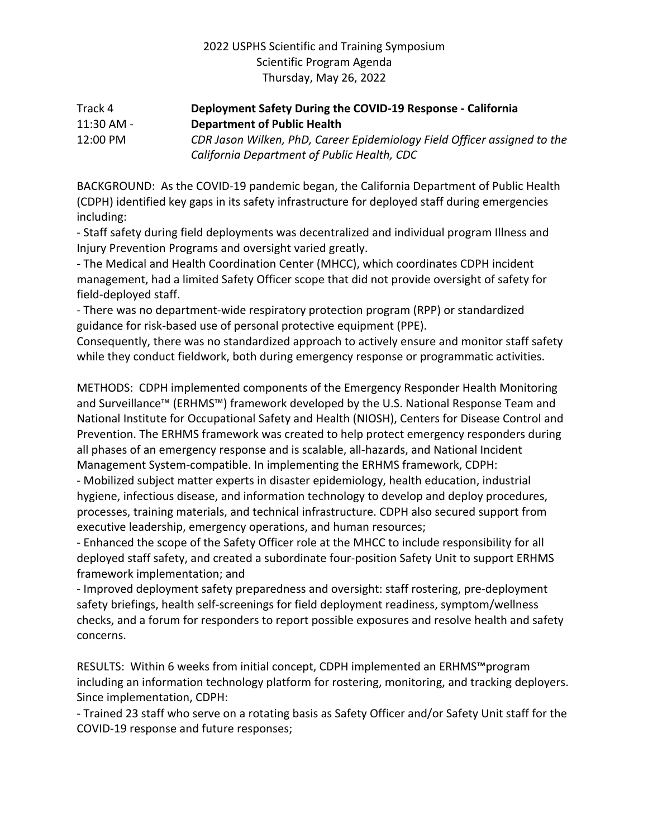#### Track 4 **Deployment Safety During the COVID-19 Response - California**  11:30 AM - **Department of Public Health** 12:00 PM *CDR Jason Wilken, PhD, Career Epidemiology Field Officer assigned to the California Department of Public Health, CDC*

BACKGROUND: As the COVID-19 pandemic began, the California Department of Public Health (CDPH) identified key gaps in its safety infrastructure for deployed staff during emergencies including:

- Staff safety during field deployments was decentralized and individual program Illness and Injury Prevention Programs and oversight varied greatly.

- The Medical and Health Coordination Center (MHCC), which coordinates CDPH incident management, had a limited Safety Officer scope that did not provide oversight of safety for field-deployed staff.

- There was no department-wide respiratory protection program (RPP) or standardized guidance for risk-based use of personal protective equipment (PPE).

Consequently, there was no standardized approach to actively ensure and monitor staff safety while they conduct fieldwork, both during emergency response or programmatic activities.

METHODS: CDPH implemented components of the Emergency Responder Health Monitoring and Surveillance™ (ERHMS™) framework developed by the U.S. National Response Team and National Institute for Occupational Safety and Health (NIOSH), Centers for Disease Control and Prevention. The ERHMS framework was created to help protect emergency responders during all phases of an emergency response and is scalable, all-hazards, and National Incident Management System-compatible. In implementing the ERHMS framework, CDPH:

- Mobilized subject matter experts in disaster epidemiology, health education, industrial hygiene, infectious disease, and information technology to develop and deploy procedures, processes, training materials, and technical infrastructure. CDPH also secured support from executive leadership, emergency operations, and human resources;

- Enhanced the scope of the Safety Officer role at the MHCC to include responsibility for all deployed staff safety, and created a subordinate four-position Safety Unit to support ERHMS framework implementation; and

- Improved deployment safety preparedness and oversight: staff rostering, pre-deployment safety briefings, health self-screenings for field deployment readiness, symptom/wellness checks, and a forum for responders to report possible exposures and resolve health and safety concerns.

RESULTS: Within 6 weeks from initial concept, CDPH implemented an ERHMS™program including an information technology platform for rostering, monitoring, and tracking deployers. Since implementation, CDPH:

- Trained 23 staff who serve on a rotating basis as Safety Officer and/or Safety Unit staff for the COVID-19 response and future responses;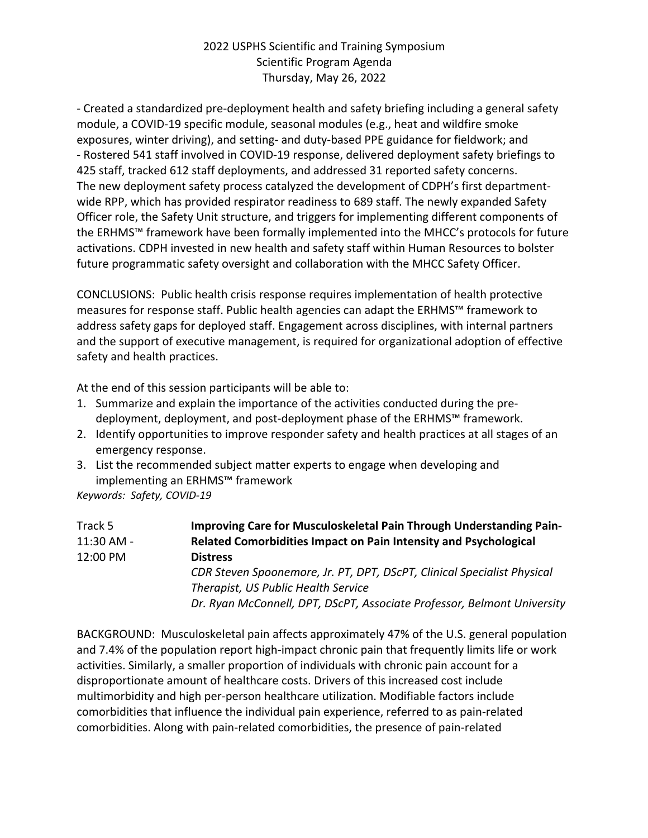- Created a standardized pre-deployment health and safety briefing including a general safety module, a COVID-19 specific module, seasonal modules (e.g., heat and wildfire smoke exposures, winter driving), and setting- and duty-based PPE guidance for fieldwork; and - Rostered 541 staff involved in COVID-19 response, delivered deployment safety briefings to 425 staff, tracked 612 staff deployments, and addressed 31 reported safety concerns. The new deployment safety process catalyzed the development of CDPH's first departmentwide RPP, which has provided respirator readiness to 689 staff. The newly expanded Safety Officer role, the Safety Unit structure, and triggers for implementing different components of the ERHMS™ framework have been formally implemented into the MHCC's protocols for future activations. CDPH invested in new health and safety staff within Human Resources to bolster future programmatic safety oversight and collaboration with the MHCC Safety Officer.

CONCLUSIONS: Public health crisis response requires implementation of health protective measures for response staff. Public health agencies can adapt the ERHMS™ framework to address safety gaps for deployed staff. Engagement across disciplines, with internal partners and the support of executive management, is required for organizational adoption of effective safety and health practices.

At the end of this session participants will be able to:

- 1. Summarize and explain the importance of the activities conducted during the predeployment, deployment, and post-deployment phase of the ERHMS™ framework.
- 2. Identify opportunities to improve responder safety and health practices at all stages of an emergency response.
- 3. List the recommended subject matter experts to engage when developing and implementing an ERHMS™ framework

*Keywords: Safety, COVID-19*

| Track 5    | Improving Care for Musculoskeletal Pain Through Understanding Pain-     |
|------------|-------------------------------------------------------------------------|
| 11:30 AM - | Related Comorbidities Impact on Pain Intensity and Psychological        |
| 12:00 PM   | <b>Distress</b>                                                         |
|            | CDR Steven Spoonemore, Jr. PT, DPT, DScPT, Clinical Specialist Physical |
|            | Therapist, US Public Health Service                                     |
|            | Dr. Ryan McConnell, DPT, DScPT, Associate Professor, Belmont University |

BACKGROUND: Musculoskeletal pain affects approximately 47% of the U.S. general population and 7.4% of the population report high-impact chronic pain that frequently limits life or work activities. Similarly, a smaller proportion of individuals with chronic pain account for a disproportionate amount of healthcare costs. Drivers of this increased cost include multimorbidity and high per-person healthcare utilization. Modifiable factors include comorbidities that influence the individual pain experience, referred to as pain-related comorbidities. Along with pain-related comorbidities, the presence of pain-related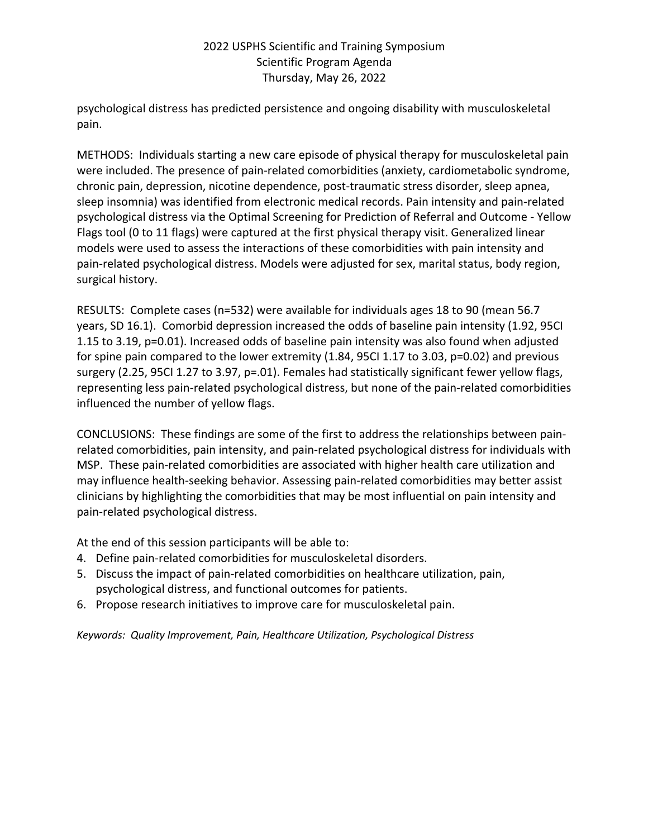psychological distress has predicted persistence and ongoing disability with musculoskeletal pain.

METHODS: Individuals starting a new care episode of physical therapy for musculoskeletal pain were included. The presence of pain-related comorbidities (anxiety, cardiometabolic syndrome, chronic pain, depression, nicotine dependence, post-traumatic stress disorder, sleep apnea, sleep insomnia) was identified from electronic medical records. Pain intensity and pain-related psychological distress via the Optimal Screening for Prediction of Referral and Outcome - Yellow Flags tool (0 to 11 flags) were captured at the first physical therapy visit. Generalized linear models were used to assess the interactions of these comorbidities with pain intensity and pain-related psychological distress. Models were adjusted for sex, marital status, body region, surgical history.

RESULTS: Complete cases (n=532) were available for individuals ages 18 to 90 (mean 56.7 years, SD 16.1). Comorbid depression increased the odds of baseline pain intensity (1.92, 95CI 1.15 to 3.19, p=0.01). Increased odds of baseline pain intensity was also found when adjusted for spine pain compared to the lower extremity (1.84, 95CI 1.17 to 3.03, p=0.02) and previous surgery (2.25, 95CI 1.27 to 3.97, p=.01). Females had statistically significant fewer yellow flags, representing less pain-related psychological distress, but none of the pain-related comorbidities influenced the number of yellow flags.

CONCLUSIONS: These findings are some of the first to address the relationships between painrelated comorbidities, pain intensity, and pain-related psychological distress for individuals with MSP. These pain-related comorbidities are associated with higher health care utilization and may influence health-seeking behavior. Assessing pain-related comorbidities may better assist clinicians by highlighting the comorbidities that may be most influential on pain intensity and pain-related psychological distress.

At the end of this session participants will be able to:

- 4. Define pain-related comorbidities for musculoskeletal disorders.
- 5. Discuss the impact of pain-related comorbidities on healthcare utilization, pain, psychological distress, and functional outcomes for patients.
- 6. Propose research initiatives to improve care for musculoskeletal pain.

*Keywords: Quality Improvement, Pain, Healthcare Utilization, Psychological Distress*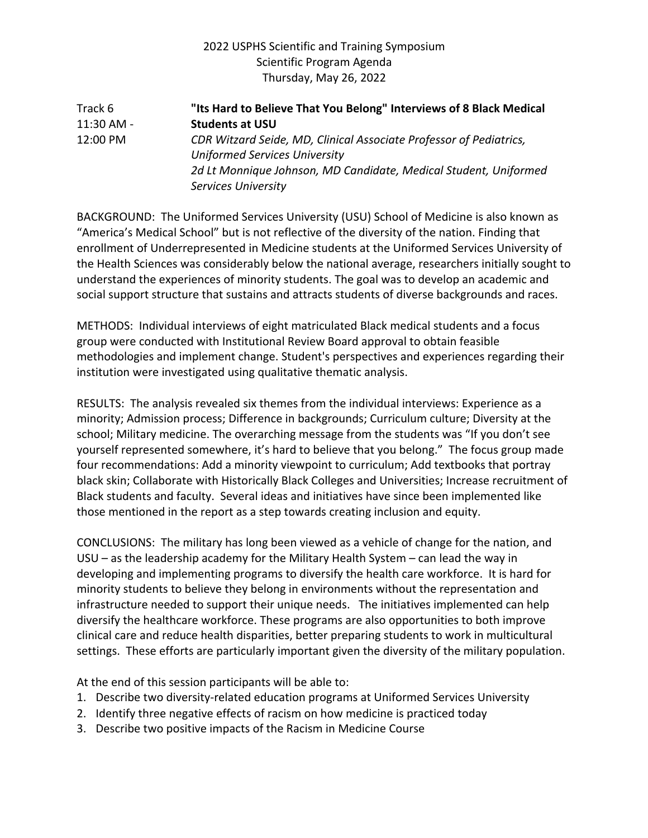## Track 6 **"Its Hard to Believe That You Belong" Interviews of 8 Black Medical**  11:30 AM - **Students at USU** 12:00 PM *CDR Witzard Seide, MD, Clinical Associate Professor of Pediatrics, Uniformed Services University 2d Lt Monnique Johnson, MD Candidate, Medical Student, Uniformed Services University*

BACKGROUND: The Uniformed Services University (USU) School of Medicine is also known as "America's Medical School" but is not reflective of the diversity of the nation. Finding that enrollment of Underrepresented in Medicine students at the Uniformed Services University of the Health Sciences was considerably below the national average, researchers initially sought to understand the experiences of minority students. The goal was to develop an academic and social support structure that sustains and attracts students of diverse backgrounds and races.

METHODS: Individual interviews of eight matriculated Black medical students and a focus group were conducted with Institutional Review Board approval to obtain feasible methodologies and implement change. Student's perspectives and experiences regarding their institution were investigated using qualitative thematic analysis.

RESULTS: The analysis revealed six themes from the individual interviews: Experience as a minority; Admission process; Difference in backgrounds; Curriculum culture; Diversity at the school; Military medicine. The overarching message from the students was "If you don't see yourself represented somewhere, it's hard to believe that you belong." The focus group made four recommendations: Add a minority viewpoint to curriculum; Add textbooks that portray black skin; Collaborate with Historically Black Colleges and Universities; Increase recruitment of Black students and faculty. Several ideas and initiatives have since been implemented like those mentioned in the report as a step towards creating inclusion and equity.

CONCLUSIONS: The military has long been viewed as a vehicle of change for the nation, and USU – as the leadership academy for the Military Health System – can lead the way in developing and implementing programs to diversify the health care workforce. It is hard for minority students to believe they belong in environments without the representation and infrastructure needed to support their unique needs. The initiatives implemented can help diversify the healthcare workforce. These programs are also opportunities to both improve clinical care and reduce health disparities, better preparing students to work in multicultural settings. These efforts are particularly important given the diversity of the military population.

At the end of this session participants will be able to:

- 1. Describe two diversity-related education programs at Uniformed Services University
- 2. Identify three negative effects of racism on how medicine is practiced today
- 3. Describe two positive impacts of the Racism in Medicine Course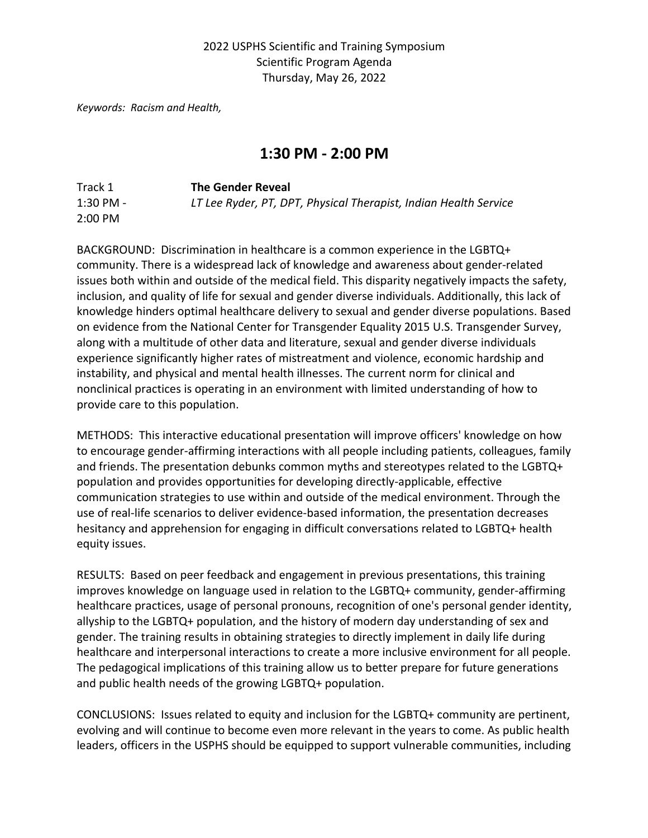*Keywords: Racism and Health,* 

## **1:30 PM - 2:00 PM**

| Track 1   | <b>The Gender Reveal</b>                                         |
|-----------|------------------------------------------------------------------|
| 1:30 PM - | LT Lee Ryder, PT, DPT, Physical Therapist, Indian Health Service |
| $2:00$ PM |                                                                  |

BACKGROUND: Discrimination in healthcare is a common experience in the LGBTQ+ community. There is a widespread lack of knowledge and awareness about gender-related issues both within and outside of the medical field. This disparity negatively impacts the safety, inclusion, and quality of life for sexual and gender diverse individuals. Additionally, this lack of knowledge hinders optimal healthcare delivery to sexual and gender diverse populations. Based on evidence from the National Center for Transgender Equality 2015 U.S. Transgender Survey, along with a multitude of other data and literature, sexual and gender diverse individuals experience significantly higher rates of mistreatment and violence, economic hardship and instability, and physical and mental health illnesses. The current norm for clinical and nonclinical practices is operating in an environment with limited understanding of how to provide care to this population.

METHODS: This interactive educational presentation will improve officers' knowledge on how to encourage gender-affirming interactions with all people including patients, colleagues, family and friends. The presentation debunks common myths and stereotypes related to the LGBTQ+ population and provides opportunities for developing directly-applicable, effective communication strategies to use within and outside of the medical environment. Through the use of real-life scenarios to deliver evidence-based information, the presentation decreases hesitancy and apprehension for engaging in difficult conversations related to LGBTQ+ health equity issues.

RESULTS: Based on peer feedback and engagement in previous presentations, this training improves knowledge on language used in relation to the LGBTQ+ community, gender-affirming healthcare practices, usage of personal pronouns, recognition of one's personal gender identity, allyship to the LGBTQ+ population, and the history of modern day understanding of sex and gender. The training results in obtaining strategies to directly implement in daily life during healthcare and interpersonal interactions to create a more inclusive environment for all people. The pedagogical implications of this training allow us to better prepare for future generations and public health needs of the growing LGBTQ+ population.

CONCLUSIONS: Issues related to equity and inclusion for the LGBTQ+ community are pertinent, evolving and will continue to become even more relevant in the years to come. As public health leaders, officers in the USPHS should be equipped to support vulnerable communities, including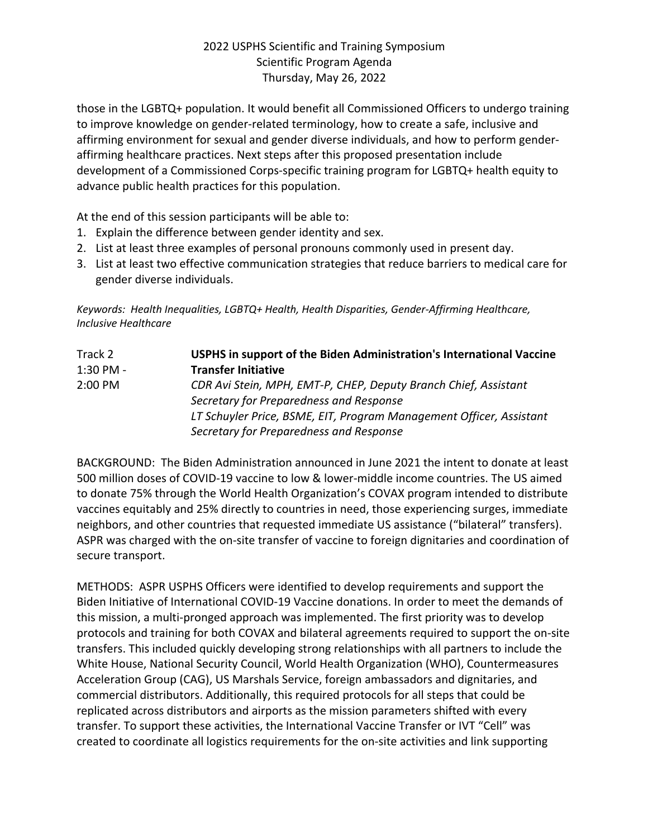those in the LGBTQ+ population. It would benefit all Commissioned Officers to undergo training to improve knowledge on gender-related terminology, how to create a safe, inclusive and affirming environment for sexual and gender diverse individuals, and how to perform genderaffirming healthcare practices. Next steps after this proposed presentation include development of a Commissioned Corps-specific training program for LGBTQ+ health equity to advance public health practices for this population.

At the end of this session participants will be able to:

- 1. Explain the difference between gender identity and sex.
- 2. List at least three examples of personal pronouns commonly used in present day.
- 3. List at least two effective communication strategies that reduce barriers to medical care for gender diverse individuals.

*Keywords: Health Inequalities, LGBTQ+ Health, Health Disparities, Gender-Affirming Healthcare, Inclusive Healthcare*

| Track 2     | USPHS in support of the Biden Administration's International Vaccine |
|-------------|----------------------------------------------------------------------|
| $1:30$ PM - | <b>Transfer Initiative</b>                                           |
| $2:00$ PM   | CDR Avi Stein, MPH, EMT-P, CHEP, Deputy Branch Chief, Assistant      |
|             | Secretary for Preparedness and Response                              |
|             | LT Schuyler Price, BSME, EIT, Program Management Officer, Assistant  |
|             | Secretary for Preparedness and Response                              |

BACKGROUND: The Biden Administration announced in June 2021 the intent to donate at least 500 million doses of COVID-19 vaccine to low & lower-middle income countries. The US aimed to donate 75% through the World Health Organization's COVAX program intended to distribute vaccines equitably and 25% directly to countries in need, those experiencing surges, immediate neighbors, and other countries that requested immediate US assistance ("bilateral" transfers). ASPR was charged with the on-site transfer of vaccine to foreign dignitaries and coordination of secure transport.

METHODS: ASPR USPHS Officers were identified to develop requirements and support the Biden Initiative of International COVID-19 Vaccine donations. In order to meet the demands of this mission, a multi-pronged approach was implemented. The first priority was to develop protocols and training for both COVAX and bilateral agreements required to support the on-site transfers. This included quickly developing strong relationships with all partners to include the White House, National Security Council, World Health Organization (WHO), Countermeasures Acceleration Group (CAG), US Marshals Service, foreign ambassadors and dignitaries, and commercial distributors. Additionally, this required protocols for all steps that could be replicated across distributors and airports as the mission parameters shifted with every transfer. To support these activities, the International Vaccine Transfer or IVT "Cell" was created to coordinate all logistics requirements for the on-site activities and link supporting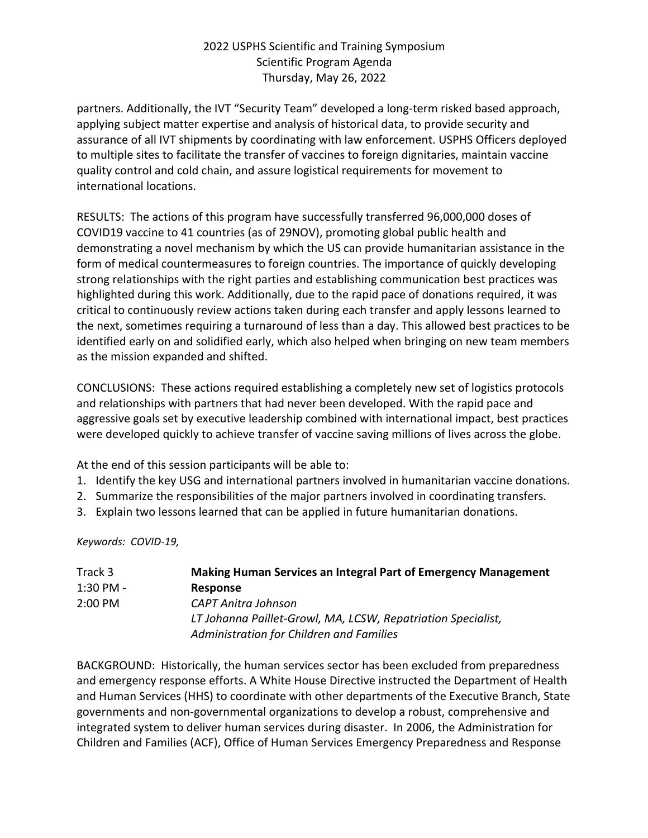partners. Additionally, the IVT "Security Team" developed a long-term risked based approach, applying subject matter expertise and analysis of historical data, to provide security and assurance of all IVT shipments by coordinating with law enforcement. USPHS Officers deployed to multiple sites to facilitate the transfer of vaccines to foreign dignitaries, maintain vaccine quality control and cold chain, and assure logistical requirements for movement to international locations.

RESULTS: The actions of this program have successfully transferred 96,000,000 doses of COVID19 vaccine to 41 countries (as of 29NOV), promoting global public health and demonstrating a novel mechanism by which the US can provide humanitarian assistance in the form of medical countermeasures to foreign countries. The importance of quickly developing strong relationships with the right parties and establishing communication best practices was highlighted during this work. Additionally, due to the rapid pace of donations required, it was critical to continuously review actions taken during each transfer and apply lessons learned to the next, sometimes requiring a turnaround of less than a day. This allowed best practices to be identified early on and solidified early, which also helped when bringing on new team members as the mission expanded and shifted.

CONCLUSIONS: These actions required establishing a completely new set of logistics protocols and relationships with partners that had never been developed. With the rapid pace and aggressive goals set by executive leadership combined with international impact, best practices were developed quickly to achieve transfer of vaccine saving millions of lives across the globe.

At the end of this session participants will be able to:

- 1. Identify the key USG and international partners involved in humanitarian vaccine donations.
- 2. Summarize the responsibilities of the major partners involved in coordinating transfers.
- 3. Explain two lessons learned that can be applied in future humanitarian donations.

*Keywords: COVID-19,* 

| Track 3             | <b>Making Human Services an Integral Part of Emergency Management</b> |
|---------------------|-----------------------------------------------------------------------|
| $1:30$ PM -         | <b>Response</b>                                                       |
| $2:00 \, \text{PM}$ | CAPT Anitra Johnson                                                   |
|                     | LT Johanna Paillet-Growl, MA, LCSW, Repatriation Specialist,          |
|                     | Administration for Children and Families                              |

BACKGROUND: Historically, the human services sector has been excluded from preparedness and emergency response efforts. A White House Directive instructed the Department of Health and Human Services (HHS) to coordinate with other departments of the Executive Branch, State governments and non-governmental organizations to develop a robust, comprehensive and integrated system to deliver human services during disaster. In 2006, the Administration for Children and Families (ACF), Office of Human Services Emergency Preparedness and Response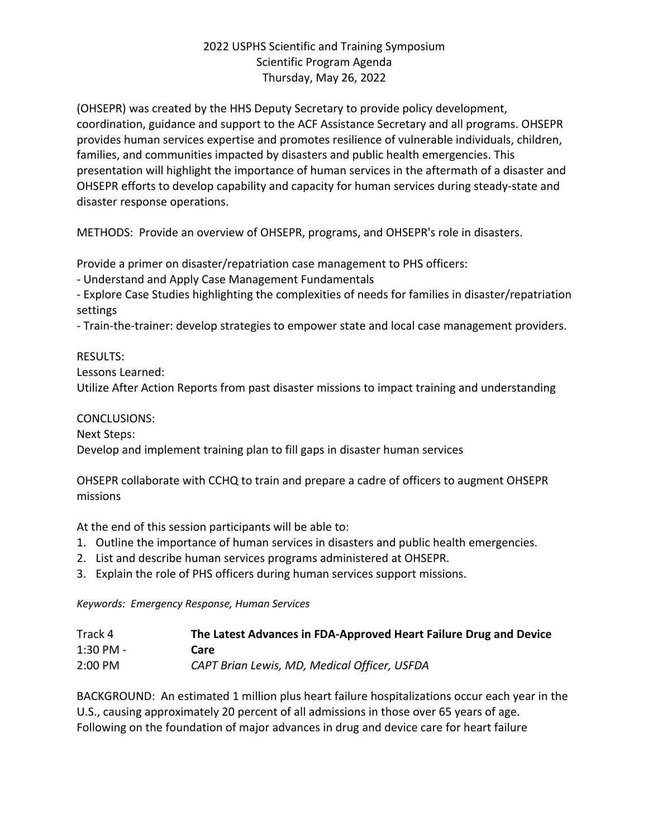(OHSEPR) was created by the HHS Deputy Secretary to provide policy development, coordination, guidance and support to the ACF Assistance Secretary and all programs. OHSEPR provides human services expertise and promotes resilience of vulnerable individuals, children, families, and communities impacted by disasters and public health emergencies. This presentation will highlight the importance of human services in the aftermath of a disaster and OHSEPR efforts to develop capability and capacity for human services during steady-state and disaster response operations.

METHODS: Provide an overview of OHSEPR, programs, and OHSEPR's role in disasters.

Provide a primer on disaster/repatriation case management to PHS officers:

- Understand and Apply Case Management Fundamentals

- Explore Case Studies highlighting the complexities of needs for families in disaster/repatriation settings

- Train-the-trainer: develop strategies to empower state and local case management providers.

#### RESULTS:

Lessons Learned:

Utilize After Action Reports from past disaster missions to impact training and understanding

CONCLUSIONS:

Next Steps:

Develop and implement training plan to fill gaps in disaster human services

OHSEPR collaborate with CCHQ to train and prepare a cadre of officers to augment OHSEPR missions

At the end of this session participants will be able to:

- 1. Outline the importance of human services in disasters and public health emergencies.
- 2. List and describe human services programs administered at OHSEPR.
- 3. Explain the role of PHS officers during human services support missions.

*Keywords: Emergency Response, Human Services*

| Track 4   | The Latest Advances in FDA-Approved Heart Failure Drug and Device |
|-----------|-------------------------------------------------------------------|
| 1:30 PM - | Care                                                              |
| 2:00 PM   | CAPT Brian Lewis, MD, Medical Officer, USFDA                      |

BACKGROUND: An estimated 1 million plus heart failure hospitalizations occur each year in the U.S., causing approximately 20 percent of all admissions in those over 65 years of age. Following on the foundation of major advances in drug and device care for heart failure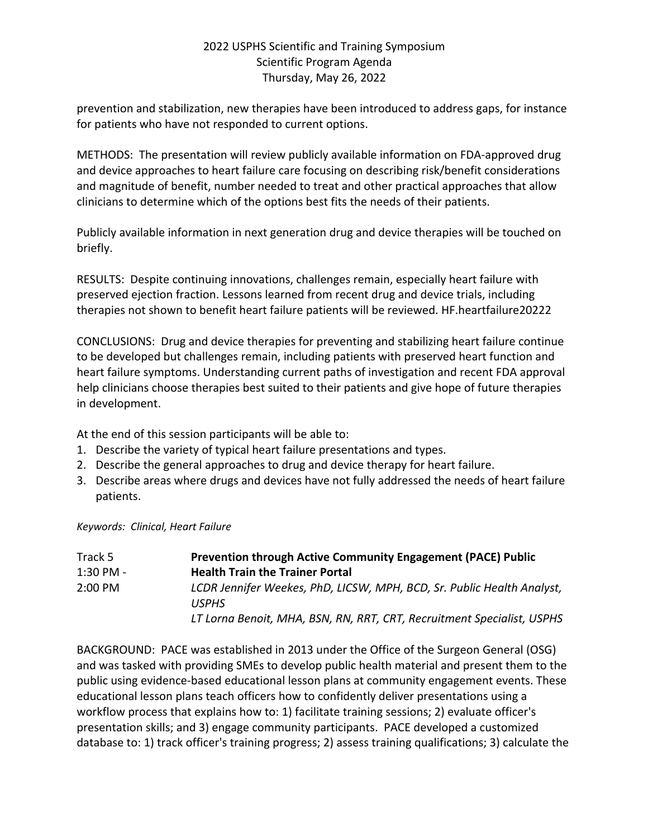prevention and stabilization, new therapies have been introduced to address gaps, for instance for patients who have not responded to current options.

METHODS: The presentation will review publicly available information on FDA-approved drug and device approaches to heart failure care focusing on describing risk/benefit considerations and magnitude of benefit, number needed to treat and other practical approaches that allow clinicians to determine which of the options best fits the needs of their patients.

Publicly available information in next generation drug and device therapies will be touched on briefly.

RESULTS: Despite continuing innovations, challenges remain, especially heart failure with preserved ejection fraction. Lessons learned from recent drug and device trials, including therapies not shown to benefit heart failure patients will be reviewed. HF.heartfailure20222

CONCLUSIONS: Drug and device therapies for preventing and stabilizing heart failure continue to be developed but challenges remain, including patients with preserved heart function and heart failure symptoms. Understanding current paths of investigation and recent FDA approval help clinicians choose therapies best suited to their patients and give hope of future therapies in development.

At the end of this session participants will be able to:

- 1. Describe the variety of typical heart failure presentations and types.
- 2. Describe the general approaches to drug and device therapy for heart failure.
- 3. Describe areas where drugs and devices have not fully addressed the needs of heart failure patients.

*Keywords: Clinical, Heart Failure*

| Track 5     | <b>Prevention through Active Community Engagement (PACE) Public</b>                    |
|-------------|----------------------------------------------------------------------------------------|
| $1:30$ PM - | <b>Health Train the Trainer Portal</b>                                                 |
| 2:00 PM     | LCDR Jennifer Weekes, PhD, LICSW, MPH, BCD, Sr. Public Health Analyst,<br><b>USPHS</b> |
|             | LT Lorna Benoit, MHA, BSN, RN, RRT, CRT, Recruitment Specialist, USPHS                 |

BACKGROUND: PACE was established in 2013 under the Office of the Surgeon General (OSG) and was tasked with providing SMEs to develop public health material and present them to the public using evidence-based educational lesson plans at community engagement events. These educational lesson plans teach officers how to confidently deliver presentations using a workflow process that explains how to: 1) facilitate training sessions; 2) evaluate officer's presentation skills; and 3) engage community participants. PACE developed a customized database to: 1) track officer's training progress; 2) assess training qualifications; 3) calculate the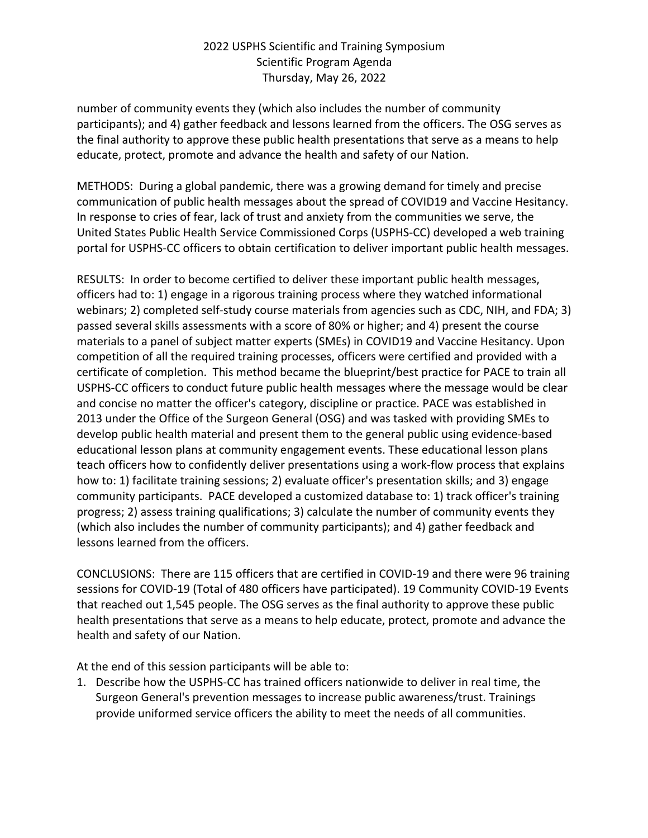number of community events they (which also includes the number of community participants); and 4) gather feedback and lessons learned from the officers. The OSG serves as the final authority to approve these public health presentations that serve as a means to help educate, protect, promote and advance the health and safety of our Nation.

METHODS: During a global pandemic, there was a growing demand for timely and precise communication of public health messages about the spread of COVID19 and Vaccine Hesitancy. In response to cries of fear, lack of trust and anxiety from the communities we serve, the United States Public Health Service Commissioned Corps (USPHS-CC) developed a web training portal for USPHS-CC officers to obtain certification to deliver important public health messages.

RESULTS: In order to become certified to deliver these important public health messages, officers had to: 1) engage in a rigorous training process where they watched informational webinars; 2) completed self-study course materials from agencies such as CDC, NIH, and FDA; 3) passed several skills assessments with a score of 80% or higher; and 4) present the course materials to a panel of subject matter experts (SMEs) in COVID19 and Vaccine Hesitancy. Upon competition of all the required training processes, officers were certified and provided with a certificate of completion. This method became the blueprint/best practice for PACE to train all USPHS-CC officers to conduct future public health messages where the message would be clear and concise no matter the officer's category, discipline or practice. PACE was established in 2013 under the Office of the Surgeon General (OSG) and was tasked with providing SMEs to develop public health material and present them to the general public using evidence-based educational lesson plans at community engagement events. These educational lesson plans teach officers how to confidently deliver presentations using a work-flow process that explains how to: 1) facilitate training sessions; 2) evaluate officer's presentation skills; and 3) engage community participants. PACE developed a customized database to: 1) track officer's training progress; 2) assess training qualifications; 3) calculate the number of community events they (which also includes the number of community participants); and 4) gather feedback and lessons learned from the officers.

CONCLUSIONS: There are 115 officers that are certified in COVID-19 and there were 96 training sessions for COVID-19 (Total of 480 officers have participated). 19 Community COVID-19 Events that reached out 1,545 people. The OSG serves as the final authority to approve these public health presentations that serve as a means to help educate, protect, promote and advance the health and safety of our Nation.

At the end of this session participants will be able to:

1. Describe how the USPHS-CC has trained officers nationwide to deliver in real time, the Surgeon General's prevention messages to increase public awareness/trust. Trainings provide uniformed service officers the ability to meet the needs of all communities.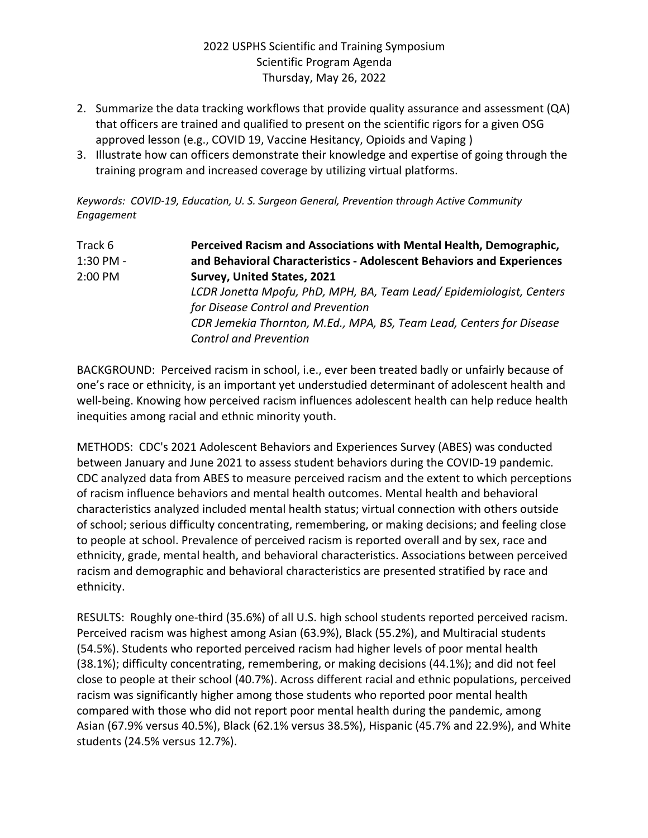- 2. Summarize the data tracking workflows that provide quality assurance and assessment (QA) that officers are trained and qualified to present on the scientific rigors for a given OSG approved lesson (e.g., COVID 19, Vaccine Hesitancy, Opioids and Vaping )
- 3. Illustrate how can officers demonstrate their knowledge and expertise of going through the training program and increased coverage by utilizing virtual platforms.

*Keywords: COVID-19, Education, U. S. Surgeon General, Prevention through Active Community Engagement*

| Track 6   | Perceived Racism and Associations with Mental Health, Demographic,    |
|-----------|-----------------------------------------------------------------------|
| 1:30 PM - | and Behavioral Characteristics - Adolescent Behaviors and Experiences |
| 2:00 PM   | Survey, United States, 2021                                           |
|           | LCDR Jonetta Mpofu, PhD, MPH, BA, Team Lead/Epidemiologist, Centers   |
|           | for Disease Control and Prevention                                    |
|           | CDR Jemekia Thornton, M.Ed., MPA, BS, Team Lead, Centers for Disease  |
|           | <b>Control and Prevention</b>                                         |

BACKGROUND: Perceived racism in school, i.e., ever been treated badly or unfairly because of one's race or ethnicity, is an important yet understudied determinant of adolescent health and well-being. Knowing how perceived racism influences adolescent health can help reduce health inequities among racial and ethnic minority youth.

METHODS: CDC's 2021 Adolescent Behaviors and Experiences Survey (ABES) was conducted between January and June 2021 to assess student behaviors during the COVID-19 pandemic. CDC analyzed data from ABES to measure perceived racism and the extent to which perceptions of racism influence behaviors and mental health outcomes. Mental health and behavioral characteristics analyzed included mental health status; virtual connection with others outside of school; serious difficulty concentrating, remembering, or making decisions; and feeling close to people at school. Prevalence of perceived racism is reported overall and by sex, race and ethnicity, grade, mental health, and behavioral characteristics. Associations between perceived racism and demographic and behavioral characteristics are presented stratified by race and ethnicity.

RESULTS: Roughly one-third (35.6%) of all U.S. high school students reported perceived racism. Perceived racism was highest among Asian (63.9%), Black (55.2%), and Multiracial students (54.5%). Students who reported perceived racism had higher levels of poor mental health (38.1%); difficulty concentrating, remembering, or making decisions (44.1%); and did not feel close to people at their school (40.7%). Across different racial and ethnic populations, perceived racism was significantly higher among those students who reported poor mental health compared with those who did not report poor mental health during the pandemic, among Asian (67.9% versus 40.5%), Black (62.1% versus 38.5%), Hispanic (45.7% and 22.9%), and White students (24.5% versus 12.7%).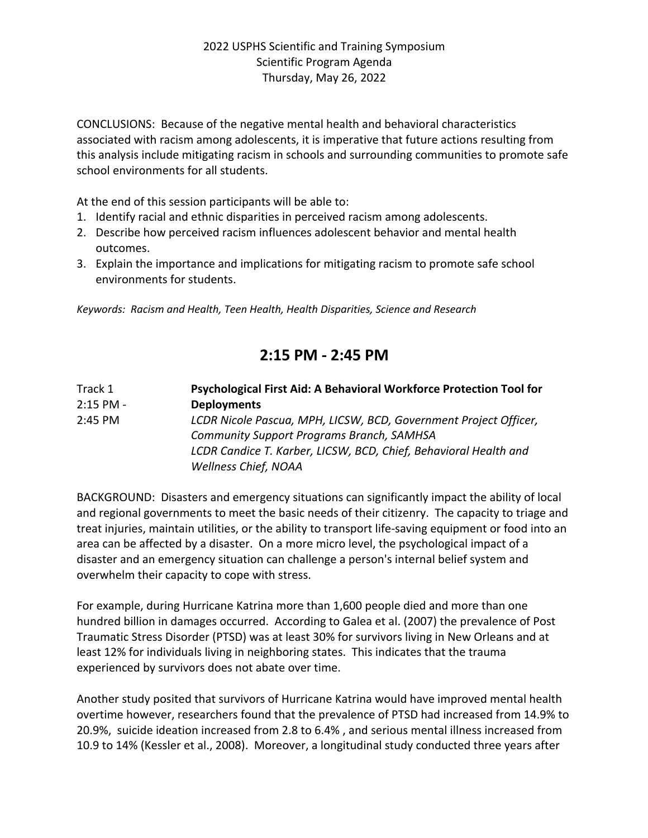CONCLUSIONS: Because of the negative mental health and behavioral characteristics associated with racism among adolescents, it is imperative that future actions resulting from this analysis include mitigating racism in schools and surrounding communities to promote safe school environments for all students.

At the end of this session participants will be able to:

- 1. Identify racial and ethnic disparities in perceived racism among adolescents.
- 2. Describe how perceived racism influences adolescent behavior and mental health outcomes.
- 3. Explain the importance and implications for mitigating racism to promote safe school environments for students.

*Keywords: Racism and Health, Teen Health, Health Disparities, Science and Research*

# **2:15 PM - 2:45 PM**

| Track 1     | Psychological First Aid: A Behavioral Workforce Protection Tool for |
|-------------|---------------------------------------------------------------------|
| $2:15$ PM - | <b>Deployments</b>                                                  |
| $2:45$ PM   | LCDR Nicole Pascua, MPH, LICSW, BCD, Government Project Officer,    |
|             | <b>Community Support Programs Branch, SAMHSA</b>                    |
|             | LCDR Candice T. Karber, LICSW, BCD, Chief, Behavioral Health and    |
|             | <b>Wellness Chief, NOAA</b>                                         |

BACKGROUND: Disasters and emergency situations can significantly impact the ability of local and regional governments to meet the basic needs of their citizenry. The capacity to triage and treat injuries, maintain utilities, or the ability to transport life-saving equipment or food into an area can be affected by a disaster. On a more micro level, the psychological impact of a disaster and an emergency situation can challenge a person's internal belief system and overwhelm their capacity to cope with stress.

For example, during Hurricane Katrina more than 1,600 people died and more than one hundred billion in damages occurred. According to Galea et al. (2007) the prevalence of Post Traumatic Stress Disorder (PTSD) was at least 30% for survivors living in New Orleans and at least 12% for individuals living in neighboring states. This indicates that the trauma experienced by survivors does not abate over time.

Another study posited that survivors of Hurricane Katrina would have improved mental health overtime however, researchers found that the prevalence of PTSD had increased from 14.9% to 20.9%, suicide ideation increased from 2.8 to 6.4% , and serious mental illness increased from 10.9 to 14% (Kessler et al., 2008). Moreover, a longitudinal study conducted three years after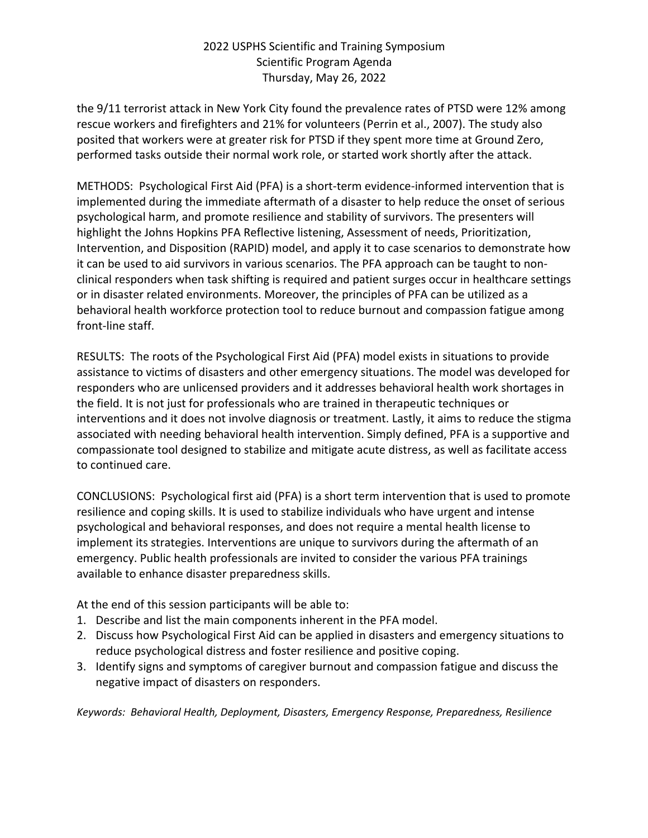the 9/11 terrorist attack in New York City found the prevalence rates of PTSD were 12% among rescue workers and firefighters and 21% for volunteers (Perrin et al., 2007). The study also posited that workers were at greater risk for PTSD if they spent more time at Ground Zero, performed tasks outside their normal work role, or started work shortly after the attack.

METHODS: Psychological First Aid (PFA) is a short-term evidence-informed intervention that is implemented during the immediate aftermath of a disaster to help reduce the onset of serious psychological harm, and promote resilience and stability of survivors. The presenters will highlight the Johns Hopkins PFA Reflective listening, Assessment of needs, Prioritization, Intervention, and Disposition (RAPID) model, and apply it to case scenarios to demonstrate how it can be used to aid survivors in various scenarios. The PFA approach can be taught to nonclinical responders when task shifting is required and patient surges occur in healthcare settings or in disaster related environments. Moreover, the principles of PFA can be utilized as a behavioral health workforce protection tool to reduce burnout and compassion fatigue among front-line staff.

RESULTS: The roots of the Psychological First Aid (PFA) model exists in situations to provide assistance to victims of disasters and other emergency situations. The model was developed for responders who are unlicensed providers and it addresses behavioral health work shortages in the field. It is not just for professionals who are trained in therapeutic techniques or interventions and it does not involve diagnosis or treatment. Lastly, it aims to reduce the stigma associated with needing behavioral health intervention. Simply defined, PFA is a supportive and compassionate tool designed to stabilize and mitigate acute distress, as well as facilitate access to continued care.

CONCLUSIONS: Psychological first aid (PFA) is a short term intervention that is used to promote resilience and coping skills. It is used to stabilize individuals who have urgent and intense psychological and behavioral responses, and does not require a mental health license to implement its strategies. Interventions are unique to survivors during the aftermath of an emergency. Public health professionals are invited to consider the various PFA trainings available to enhance disaster preparedness skills.

At the end of this session participants will be able to:

- 1. Describe and list the main components inherent in the PFA model.
- 2. Discuss how Psychological First Aid can be applied in disasters and emergency situations to reduce psychological distress and foster resilience and positive coping.
- 3. Identify signs and symptoms of caregiver burnout and compassion fatigue and discuss the negative impact of disasters on responders.

*Keywords: Behavioral Health, Deployment, Disasters, Emergency Response, Preparedness, Resilience*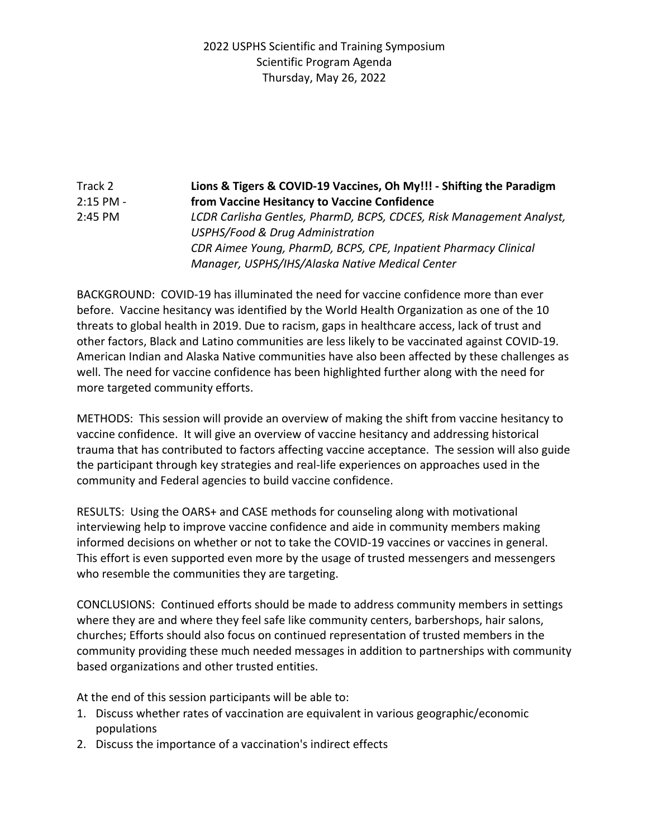Track 2 **Lions & Tigers & COVID-19 Vaccines, Oh My!!! - Shifting the Paradigm** 2:15 PM - **from Vaccine Hesitancy to Vaccine Confidence** 2:45 PM *LCDR Carlisha Gentles, PharmD, BCPS, CDCES, Risk Management Analyst, USPHS/Food & Drug Administration CDR Aimee Young, PharmD, BCPS, CPE, Inpatient Pharmacy Clinical Manager, USPHS/IHS/Alaska Native Medical Center*

BACKGROUND: COVID-19 has illuminated the need for vaccine confidence more than ever before. Vaccine hesitancy was identified by the World Health Organization as one of the 10 threats to global health in 2019. Due to racism, gaps in healthcare access, lack of trust and other factors, Black and Latino communities are less likely to be vaccinated against COVID-19. American Indian and Alaska Native communities have also been affected by these challenges as well. The need for vaccine confidence has been highlighted further along with the need for more targeted community efforts.

METHODS: This session will provide an overview of making the shift from vaccine hesitancy to vaccine confidence. It will give an overview of vaccine hesitancy and addressing historical trauma that has contributed to factors affecting vaccine acceptance. The session will also guide the participant through key strategies and real-life experiences on approaches used in the community and Federal agencies to build vaccine confidence.

RESULTS: Using the OARS+ and CASE methods for counseling along with motivational interviewing help to improve vaccine confidence and aide in community members making informed decisions on whether or not to take the COVID-19 vaccines or vaccines in general. This effort is even supported even more by the usage of trusted messengers and messengers who resemble the communities they are targeting.

CONCLUSIONS: Continued efforts should be made to address community members in settings where they are and where they feel safe like community centers, barbershops, hair salons, churches; Efforts should also focus on continued representation of trusted members in the community providing these much needed messages in addition to partnerships with community based organizations and other trusted entities.

At the end of this session participants will be able to:

- 1. Discuss whether rates of vaccination are equivalent in various geographic/economic populations
- 2. Discuss the importance of a vaccination's indirect effects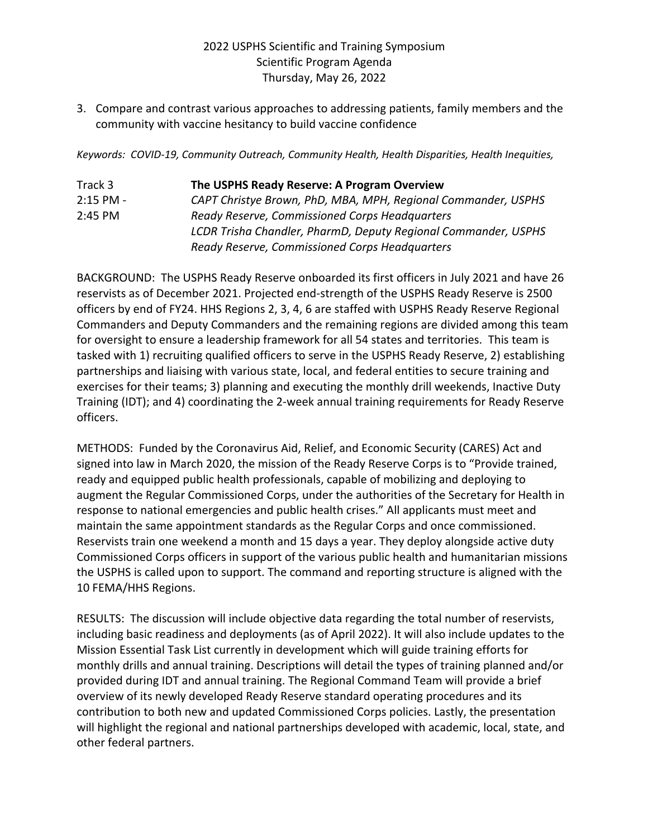3. Compare and contrast various approaches to addressing patients, family members and the community with vaccine hesitancy to build vaccine confidence

*Keywords: COVID-19, Community Outreach, Community Health, Health Disparities, Health Inequities,*

| Track 3     | The USPHS Ready Reserve: A Program Overview                    |
|-------------|----------------------------------------------------------------|
| $2:15$ PM - | CAPT Christye Brown, PhD, MBA, MPH, Regional Commander, USPHS  |
| $2:45$ PM   | Ready Reserve, Commissioned Corps Headquarters                 |
|             | LCDR Trisha Chandler, PharmD, Deputy Regional Commander, USPHS |
|             | Ready Reserve, Commissioned Corps Headquarters                 |

BACKGROUND: The USPHS Ready Reserve onboarded its first officers in July 2021 and have 26 reservists as of December 2021. Projected end-strength of the USPHS Ready Reserve is 2500 officers by end of FY24. HHS Regions 2, 3, 4, 6 are staffed with USPHS Ready Reserve Regional Commanders and Deputy Commanders and the remaining regions are divided among this team for oversight to ensure a leadership framework for all 54 states and territories. This team is tasked with 1) recruiting qualified officers to serve in the USPHS Ready Reserve, 2) establishing partnerships and liaising with various state, local, and federal entities to secure training and exercises for their teams; 3) planning and executing the monthly drill weekends, Inactive Duty Training (IDT); and 4) coordinating the 2-week annual training requirements for Ready Reserve officers.

METHODS: Funded by the Coronavirus Aid, Relief, and Economic Security (CARES) Act and signed into law in March 2020, the mission of the Ready Reserve Corps is to "Provide trained, ready and equipped public health professionals, capable of mobilizing and deploying to augment the Regular Commissioned Corps, under the authorities of the Secretary for Health in response to national emergencies and public health crises." All applicants must meet and maintain the same appointment standards as the Regular Corps and once commissioned. Reservists train one weekend a month and 15 days a year. They deploy alongside active duty Commissioned Corps officers in support of the various public health and humanitarian missions the USPHS is called upon to support. The command and reporting structure is aligned with the 10 FEMA/HHS Regions.

RESULTS: The discussion will include objective data regarding the total number of reservists, including basic readiness and deployments (as of April 2022). It will also include updates to the Mission Essential Task List currently in development which will guide training efforts for monthly drills and annual training. Descriptions will detail the types of training planned and/or provided during IDT and annual training. The Regional Command Team will provide a brief overview of its newly developed Ready Reserve standard operating procedures and its contribution to both new and updated Commissioned Corps policies. Lastly, the presentation will highlight the regional and national partnerships developed with academic, local, state, and other federal partners.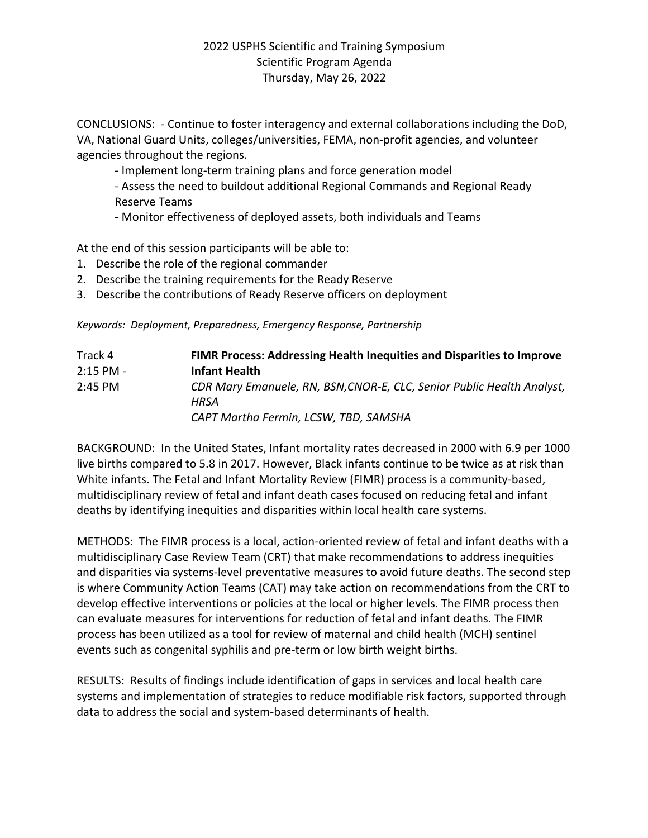CONCLUSIONS: - Continue to foster interagency and external collaborations including the DoD, VA, National Guard Units, colleges/universities, FEMA, non-profit agencies, and volunteer agencies throughout the regions.

- Implement long-term training plans and force generation model

- Assess the need to buildout additional Regional Commands and Regional Ready Reserve Teams

- Monitor effectiveness of deployed assets, both individuals and Teams

At the end of this session participants will be able to:

- 1. Describe the role of the regional commander
- 2. Describe the training requirements for the Ready Reserve
- 3. Describe the contributions of Ready Reserve officers on deployment

*Keywords: Deployment, Preparedness, Emergency Response, Partnership*

| Track 4     | FIMR Process: Addressing Health Inequities and Disparities to Improve                                                   |
|-------------|-------------------------------------------------------------------------------------------------------------------------|
| $2:15$ PM - | <b>Infant Health</b>                                                                                                    |
| $2:45$ PM   | CDR Mary Emanuele, RN, BSN, CNOR-E, CLC, Senior Public Health Analyst,<br>HRSA<br>CAPT Martha Fermin, LCSW, TBD, SAMSHA |

BACKGROUND: In the United States, Infant mortality rates decreased in 2000 with 6.9 per 1000 live births compared to 5.8 in 2017. However, Black infants continue to be twice as at risk than White infants. The Fetal and Infant Mortality Review (FIMR) process is a community-based, multidisciplinary review of fetal and infant death cases focused on reducing fetal and infant deaths by identifying inequities and disparities within local health care systems.

METHODS: The FIMR process is a local, action-oriented review of fetal and infant deaths with a multidisciplinary Case Review Team (CRT) that make recommendations to address inequities and disparities via systems-level preventative measures to avoid future deaths. The second step is where Community Action Teams (CAT) may take action on recommendations from the CRT to develop effective interventions or policies at the local or higher levels. The FIMR process then can evaluate measures for interventions for reduction of fetal and infant deaths. The FIMR process has been utilized as a tool for review of maternal and child health (MCH) sentinel events such as congenital syphilis and pre-term or low birth weight births.

RESULTS: Results of findings include identification of gaps in services and local health care systems and implementation of strategies to reduce modifiable risk factors, supported through data to address the social and system-based determinants of health.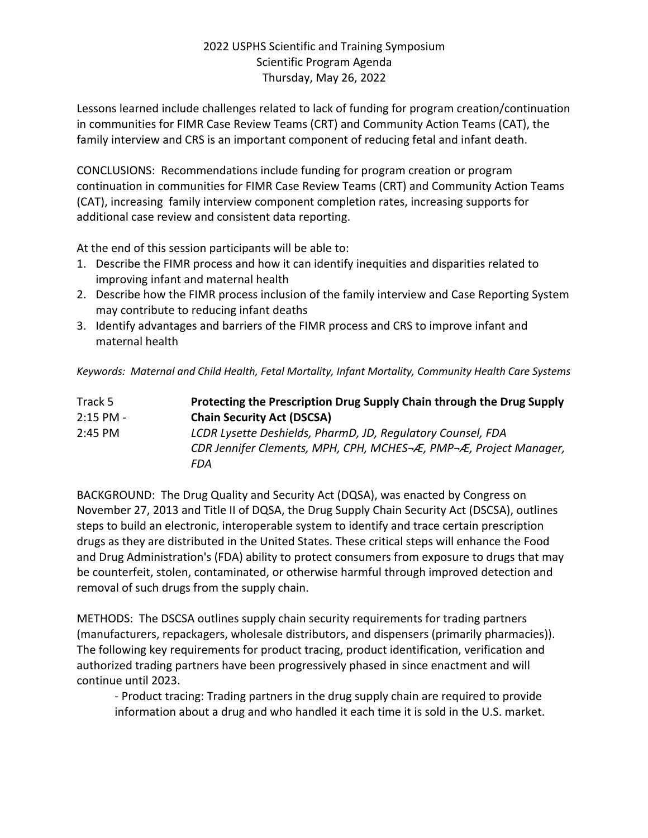Lessons learned include challenges related to lack of funding for program creation/continuation in communities for FIMR Case Review Teams (CRT) and Community Action Teams (CAT), the family interview and CRS is an important component of reducing fetal and infant death.

CONCLUSIONS: Recommendations include funding for program creation or program continuation in communities for FIMR Case Review Teams (CRT) and Community Action Teams (CAT), increasing family interview component completion rates, increasing supports for additional case review and consistent data reporting.

At the end of this session participants will be able to:

- 1. Describe the FIMR process and how it can identify inequities and disparities related to improving infant and maternal health
- 2. Describe how the FIMR process inclusion of the family interview and Case Reporting System may contribute to reducing infant deaths
- 3. Identify advantages and barriers of the FIMR process and CRS to improve infant and maternal health

*Keywords: Maternal and Child Health, Fetal Mortality, Infant Mortality, Community Health Care Systems*

| Track 5     | Protecting the Prescription Drug Supply Chain through the Drug Supply |
|-------------|-----------------------------------------------------------------------|
| $2:15$ PM - | <b>Chain Security Act (DSCSA)</b>                                     |
| $2:45$ PM   | LCDR Lysette Deshields, PharmD, JD, Regulatory Counsel, FDA           |
|             | CDR Jennifer Clements, MPH, CPH, MCHES-Æ, PMP-Æ, Project Manager,     |
|             | FDA                                                                   |

BACKGROUND: The Drug Quality and Security Act (DQSA), was enacted by Congress on November 27, 2013 and Title II of DQSA, the Drug Supply Chain Security Act (DSCSA), outlines steps to build an electronic, interoperable system to identify and trace certain prescription drugs as they are distributed in the United States. These critical steps will enhance the Food and Drug Administration's (FDA) ability to protect consumers from exposure to drugs that may be counterfeit, stolen, contaminated, or otherwise harmful through improved detection and removal of such drugs from the supply chain.

METHODS: The DSCSA outlines supply chain security requirements for trading partners (manufacturers, repackagers, wholesale distributors, and dispensers (primarily pharmacies)). The following key requirements for product tracing, product identification, verification and authorized trading partners have been progressively phased in since enactment and will continue until 2023.

- Product tracing: Trading partners in the drug supply chain are required to provide information about a drug and who handled it each time it is sold in the U.S. market.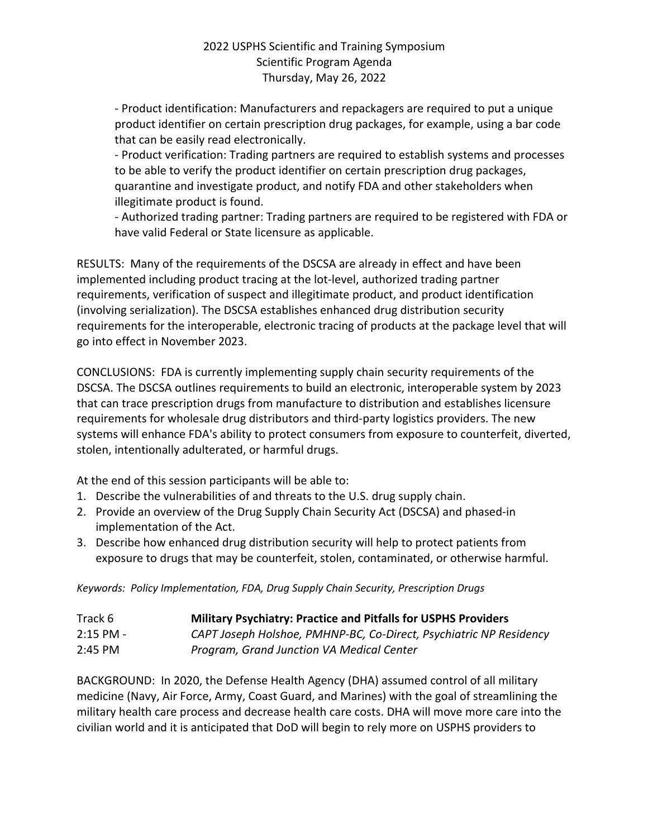- Product identification: Manufacturers and repackagers are required to put a unique product identifier on certain prescription drug packages, for example, using a bar code that can be easily read electronically.

- Product verification: Trading partners are required to establish systems and processes to be able to verify the product identifier on certain prescription drug packages, quarantine and investigate product, and notify FDA and other stakeholders when illegitimate product is found.

- Authorized trading partner: Trading partners are required to be registered with FDA or have valid Federal or State licensure as applicable.

RESULTS: Many of the requirements of the DSCSA are already in effect and have been implemented including product tracing at the lot-level, authorized trading partner requirements, verification of suspect and illegitimate product, and product identification (involving serialization). The DSCSA establishes enhanced drug distribution security requirements for the interoperable, electronic tracing of products at the package level that will go into effect in November 2023.

CONCLUSIONS: FDA is currently implementing supply chain security requirements of the DSCSA. The DSCSA outlines requirements to build an electronic, interoperable system by 2023 that can trace prescription drugs from manufacture to distribution and establishes licensure requirements for wholesale drug distributors and third-party logistics providers. The new systems will enhance FDA's ability to protect consumers from exposure to counterfeit, diverted, stolen, intentionally adulterated, or harmful drugs.

At the end of this session participants will be able to:

- 1. Describe the vulnerabilities of and threats to the U.S. drug supply chain.
- 2. Provide an overview of the Drug Supply Chain Security Act (DSCSA) and phased-in implementation of the Act.
- 3. Describe how enhanced drug distribution security will help to protect patients from exposure to drugs that may be counterfeit, stolen, contaminated, or otherwise harmful.

*Keywords: Policy Implementation, FDA, Drug Supply Chain Security, Prescription Drugs*

| Track 6     | <b>Military Psychiatry: Practice and Pitfalls for USPHS Providers</b> |
|-------------|-----------------------------------------------------------------------|
| $2:15$ PM - | CAPT Joseph Holshoe, PMHNP-BC, Co-Direct, Psychiatric NP Residency    |
| $2:45$ PM   | Program, Grand Junction VA Medical Center                             |

BACKGROUND: In 2020, the Defense Health Agency (DHA) assumed control of all military medicine (Navy, Air Force, Army, Coast Guard, and Marines) with the goal of streamlining the military health care process and decrease health care costs. DHA will move more care into the civilian world and it is anticipated that DoD will begin to rely more on USPHS providers to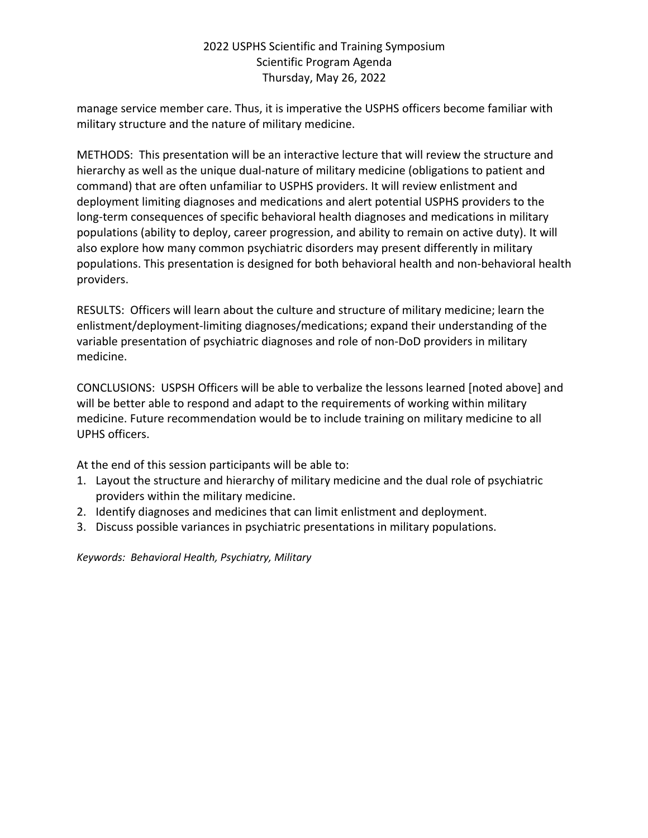manage service member care. Thus, it is imperative the USPHS officers become familiar with military structure and the nature of military medicine.

METHODS: This presentation will be an interactive lecture that will review the structure and hierarchy as well as the unique dual-nature of military medicine (obligations to patient and command) that are often unfamiliar to USPHS providers. It will review enlistment and deployment limiting diagnoses and medications and alert potential USPHS providers to the long-term consequences of specific behavioral health diagnoses and medications in military populations (ability to deploy, career progression, and ability to remain on active duty). It will also explore how many common psychiatric disorders may present differently in military populations. This presentation is designed for both behavioral health and non-behavioral health providers.

RESULTS: Officers will learn about the culture and structure of military medicine; learn the enlistment/deployment-limiting diagnoses/medications; expand their understanding of the variable presentation of psychiatric diagnoses and role of non-DoD providers in military medicine.

CONCLUSIONS: USPSH Officers will be able to verbalize the lessons learned [noted above] and will be better able to respond and adapt to the requirements of working within military medicine. Future recommendation would be to include training on military medicine to all UPHS officers.

At the end of this session participants will be able to:

- 1. Layout the structure and hierarchy of military medicine and the dual role of psychiatric providers within the military medicine.
- 2. Identify diagnoses and medicines that can limit enlistment and deployment.
- 3. Discuss possible variances in psychiatric presentations in military populations.

*Keywords: Behavioral Health, Psychiatry, Military*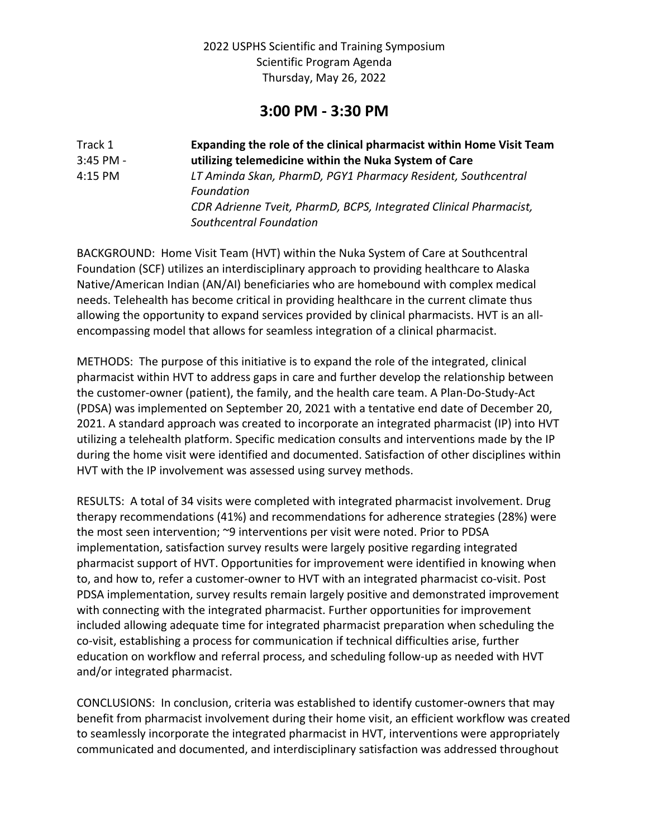## **3:00 PM - 3:30 PM**

| Track 1     | Expanding the role of the clinical pharmacist within Home Visit Team |
|-------------|----------------------------------------------------------------------|
| $3:45$ PM - | utilizing telemedicine within the Nuka System of Care                |
| 4:15 PM     | LT Aminda Skan, PharmD, PGY1 Pharmacy Resident, Southcentral         |
|             | Foundation                                                           |
|             | CDR Adrienne Tveit, PharmD, BCPS, Integrated Clinical Pharmacist,    |
|             | Southcentral Foundation                                              |

BACKGROUND: Home Visit Team (HVT) within the Nuka System of Care at Southcentral Foundation (SCF) utilizes an interdisciplinary approach to providing healthcare to Alaska Native/American Indian (AN/AI) beneficiaries who are homebound with complex medical needs. Telehealth has become critical in providing healthcare in the current climate thus allowing the opportunity to expand services provided by clinical pharmacists. HVT is an allencompassing model that allows for seamless integration of a clinical pharmacist.

METHODS: The purpose of this initiative is to expand the role of the integrated, clinical pharmacist within HVT to address gaps in care and further develop the relationship between the customer-owner (patient), the family, and the health care team. A Plan-Do-Study-Act (PDSA) was implemented on September 20, 2021 with a tentative end date of December 20, 2021. A standard approach was created to incorporate an integrated pharmacist (IP) into HVT utilizing a telehealth platform. Specific medication consults and interventions made by the IP during the home visit were identified and documented. Satisfaction of other disciplines within HVT with the IP involvement was assessed using survey methods.

RESULTS: A total of 34 visits were completed with integrated pharmacist involvement. Drug therapy recommendations (41%) and recommendations for adherence strategies (28%) were the most seen intervention; ~9 interventions per visit were noted. Prior to PDSA implementation, satisfaction survey results were largely positive regarding integrated pharmacist support of HVT. Opportunities for improvement were identified in knowing when to, and how to, refer a customer-owner to HVT with an integrated pharmacist co-visit. Post PDSA implementation, survey results remain largely positive and demonstrated improvement with connecting with the integrated pharmacist. Further opportunities for improvement included allowing adequate time for integrated pharmacist preparation when scheduling the co-visit, establishing a process for communication if technical difficulties arise, further education on workflow and referral process, and scheduling follow-up as needed with HVT and/or integrated pharmacist.

CONCLUSIONS: In conclusion, criteria was established to identify customer-owners that may benefit from pharmacist involvement during their home visit, an efficient workflow was created to seamlessly incorporate the integrated pharmacist in HVT, interventions were appropriately communicated and documented, and interdisciplinary satisfaction was addressed throughout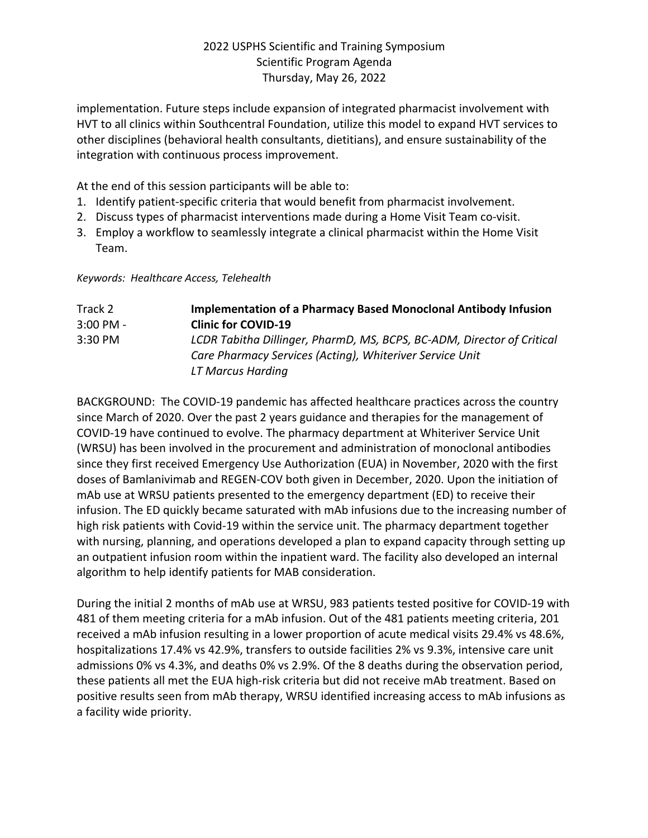implementation. Future steps include expansion of integrated pharmacist involvement with HVT to all clinics within Southcentral Foundation, utilize this model to expand HVT services to other disciplines (behavioral health consultants, dietitians), and ensure sustainability of the integration with continuous process improvement.

At the end of this session participants will be able to:

- 1. Identify patient-specific criteria that would benefit from pharmacist involvement.
- 2. Discuss types of pharmacist interventions made during a Home Visit Team co-visit.
- 3. Employ a workflow to seamlessly integrate a clinical pharmacist within the Home Visit Team.

*Keywords: Healthcare Access, Telehealth*

| Track 2     | <b>Implementation of a Pharmacy Based Monoclonal Antibody Infusion</b> |
|-------------|------------------------------------------------------------------------|
| $3:00$ PM - | <b>Clinic for COVID-19</b>                                             |
| $3:30$ PM   | LCDR Tabitha Dillinger, PharmD, MS, BCPS, BC-ADM, Director of Critical |
|             | Care Pharmacy Services (Acting), Whiteriver Service Unit               |
|             | LT Marcus Harding                                                      |

BACKGROUND: The COVID-19 pandemic has affected healthcare practices across the country since March of 2020. Over the past 2 years guidance and therapies for the management of COVID-19 have continued to evolve. The pharmacy department at Whiteriver Service Unit (WRSU) has been involved in the procurement and administration of monoclonal antibodies since they first received Emergency Use Authorization (EUA) in November, 2020 with the first doses of Bamlanivimab and REGEN-COV both given in December, 2020. Upon the initiation of mAb use at WRSU patients presented to the emergency department (ED) to receive their infusion. The ED quickly became saturated with mAb infusions due to the increasing number of high risk patients with Covid-19 within the service unit. The pharmacy department together with nursing, planning, and operations developed a plan to expand capacity through setting up an outpatient infusion room within the inpatient ward. The facility also developed an internal algorithm to help identify patients for MAB consideration.

During the initial 2 months of mAb use at WRSU, 983 patients tested positive for COVID-19 with 481 of them meeting criteria for a mAb infusion. Out of the 481 patients meeting criteria, 201 received a mAb infusion resulting in a lower proportion of acute medical visits 29.4% vs 48.6%, hospitalizations 17.4% vs 42.9%, transfers to outside facilities 2% vs 9.3%, intensive care unit admissions 0% vs 4.3%, and deaths 0% vs 2.9%. Of the 8 deaths during the observation period, these patients all met the EUA high-risk criteria but did not receive mAb treatment. Based on positive results seen from mAb therapy, WRSU identified increasing access to mAb infusions as a facility wide priority.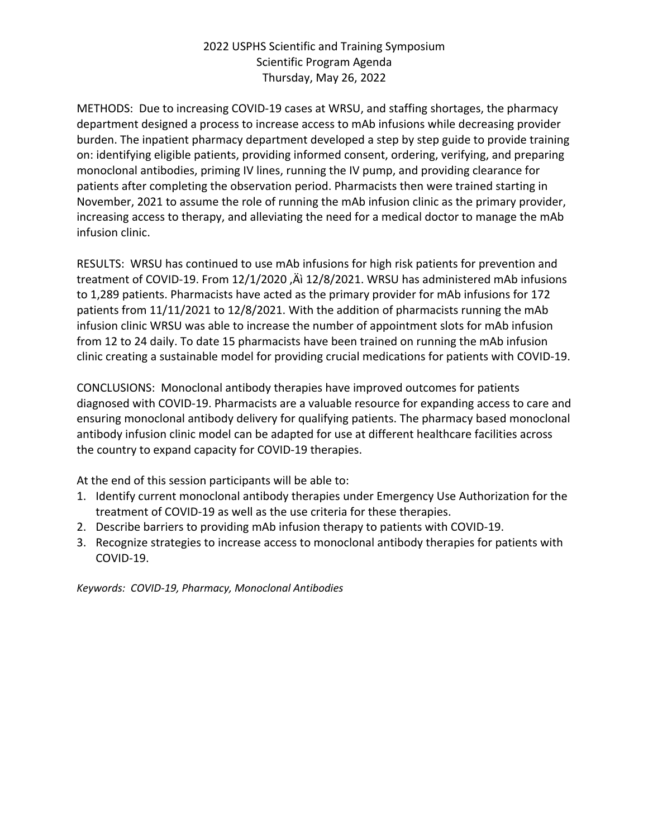METHODS: Due to increasing COVID-19 cases at WRSU, and staffing shortages, the pharmacy department designed a process to increase access to mAb infusions while decreasing provider burden. The inpatient pharmacy department developed a step by step guide to provide training on: identifying eligible patients, providing informed consent, ordering, verifying, and preparing monoclonal antibodies, priming IV lines, running the IV pump, and providing clearance for patients after completing the observation period. Pharmacists then were trained starting in November, 2021 to assume the role of running the mAb infusion clinic as the primary provider, increasing access to therapy, and alleviating the need for a medical doctor to manage the mAb infusion clinic.

RESULTS: WRSU has continued to use mAb infusions for high risk patients for prevention and treatment of COVID-19. From 12/1/2020, Äì 12/8/2021. WRSU has administered mAb infusions to 1,289 patients. Pharmacists have acted as the primary provider for mAb infusions for 172 patients from 11/11/2021 to 12/8/2021. With the addition of pharmacists running the mAb infusion clinic WRSU was able to increase the number of appointment slots for mAb infusion from 12 to 24 daily. To date 15 pharmacists have been trained on running the mAb infusion clinic creating a sustainable model for providing crucial medications for patients with COVID-19.

CONCLUSIONS: Monoclonal antibody therapies have improved outcomes for patients diagnosed with COVID-19. Pharmacists are a valuable resource for expanding access to care and ensuring monoclonal antibody delivery for qualifying patients. The pharmacy based monoclonal antibody infusion clinic model can be adapted for use at different healthcare facilities across the country to expand capacity for COVID-19 therapies.

At the end of this session participants will be able to:

- 1. Identify current monoclonal antibody therapies under Emergency Use Authorization for the treatment of COVID-19 as well as the use criteria for these therapies.
- 2. Describe barriers to providing mAb infusion therapy to patients with COVID-19.
- 3. Recognize strategies to increase access to monoclonal antibody therapies for patients with COVID-19.

*Keywords: COVID-19, Pharmacy, Monoclonal Antibodies*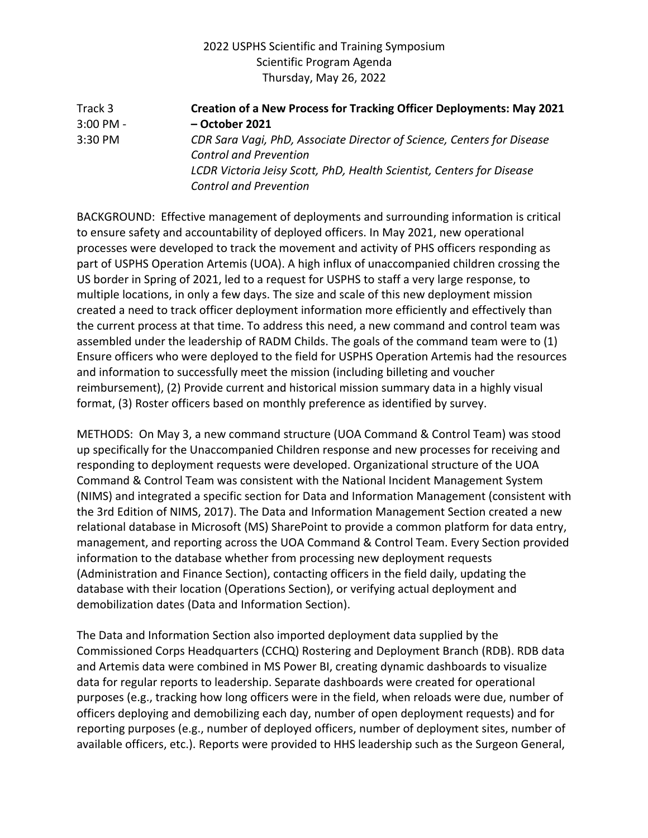Track 3 **Creation of a New Process for Tracking Officer Deployments: May 2021**  3:00 PM - **– October 2021** 3:30 PM *CDR Sara Vagi, PhD, Associate Director of Science, Centers for Disease Control and Prevention LCDR Victoria Jeisy Scott, PhD, Health Scientist, Centers for Disease Control and Prevention*

BACKGROUND: Effective management of deployments and surrounding information is critical to ensure safety and accountability of deployed officers. In May 2021, new operational processes were developed to track the movement and activity of PHS officers responding as part of USPHS Operation Artemis (UOA). A high influx of unaccompanied children crossing the US border in Spring of 2021, led to a request for USPHS to staff a very large response, to multiple locations, in only a few days. The size and scale of this new deployment mission created a need to track officer deployment information more efficiently and effectively than the current process at that time. To address this need, a new command and control team was assembled under the leadership of RADM Childs. The goals of the command team were to (1) Ensure officers who were deployed to the field for USPHS Operation Artemis had the resources and information to successfully meet the mission (including billeting and voucher reimbursement), (2) Provide current and historical mission summary data in a highly visual format, (3) Roster officers based on monthly preference as identified by survey.

METHODS: On May 3, a new command structure (UOA Command & Control Team) was stood up specifically for the Unaccompanied Children response and new processes for receiving and responding to deployment requests were developed. Organizational structure of the UOA Command & Control Team was consistent with the National Incident Management System (NIMS) and integrated a specific section for Data and Information Management (consistent with the 3rd Edition of NIMS, 2017). The Data and Information Management Section created a new relational database in Microsoft (MS) SharePoint to provide a common platform for data entry, management, and reporting across the UOA Command & Control Team. Every Section provided information to the database whether from processing new deployment requests (Administration and Finance Section), contacting officers in the field daily, updating the database with their location (Operations Section), or verifying actual deployment and demobilization dates (Data and Information Section).

The Data and Information Section also imported deployment data supplied by the Commissioned Corps Headquarters (CCHQ) Rostering and Deployment Branch (RDB). RDB data and Artemis data were combined in MS Power BI, creating dynamic dashboards to visualize data for regular reports to leadership. Separate dashboards were created for operational purposes (e.g., tracking how long officers were in the field, when reloads were due, number of officers deploying and demobilizing each day, number of open deployment requests) and for reporting purposes (e.g., number of deployed officers, number of deployment sites, number of available officers, etc.). Reports were provided to HHS leadership such as the Surgeon General,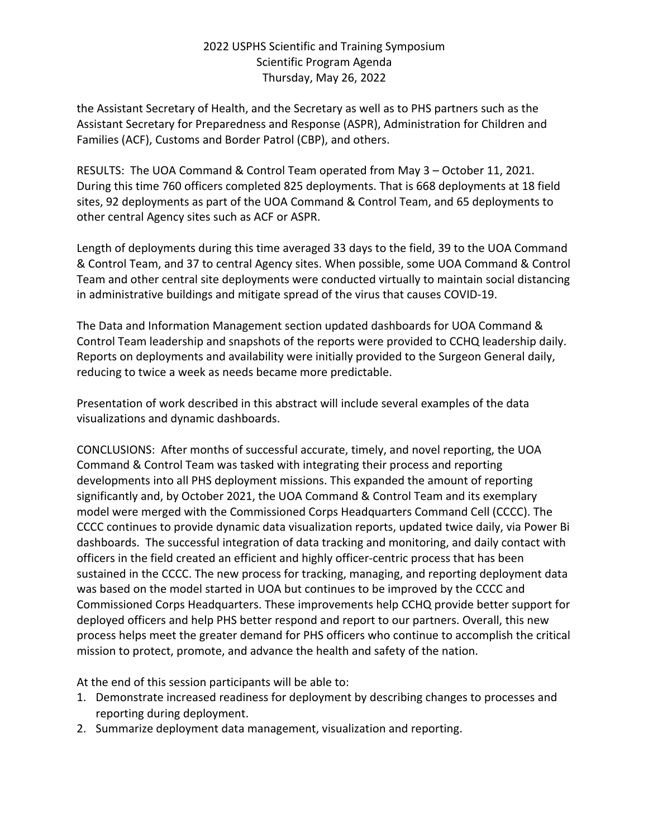the Assistant Secretary of Health, and the Secretary as well as to PHS partners such as the Assistant Secretary for Preparedness and Response (ASPR), Administration for Children and Families (ACF), Customs and Border Patrol (CBP), and others.

RESULTS: The UOA Command & Control Team operated from May 3 – October 11, 2021. During this time 760 officers completed 825 deployments. That is 668 deployments at 18 field sites, 92 deployments as part of the UOA Command & Control Team, and 65 deployments to other central Agency sites such as ACF or ASPR.

Length of deployments during this time averaged 33 days to the field, 39 to the UOA Command & Control Team, and 37 to central Agency sites. When possible, some UOA Command & Control Team and other central site deployments were conducted virtually to maintain social distancing in administrative buildings and mitigate spread of the virus that causes COVID-19.

The Data and Information Management section updated dashboards for UOA Command & Control Team leadership and snapshots of the reports were provided to CCHQ leadership daily. Reports on deployments and availability were initially provided to the Surgeon General daily, reducing to twice a week as needs became more predictable.

Presentation of work described in this abstract will include several examples of the data visualizations and dynamic dashboards.

CONCLUSIONS: After months of successful accurate, timely, and novel reporting, the UOA Command & Control Team was tasked with integrating their process and reporting developments into all PHS deployment missions. This expanded the amount of reporting significantly and, by October 2021, the UOA Command & Control Team and its exemplary model were merged with the Commissioned Corps Headquarters Command Cell (CCCC). The CCCC continues to provide dynamic data visualization reports, updated twice daily, via Power Bi dashboards. The successful integration of data tracking and monitoring, and daily contact with officers in the field created an efficient and highly officer-centric process that has been sustained in the CCCC. The new process for tracking, managing, and reporting deployment data was based on the model started in UOA but continues to be improved by the CCCC and Commissioned Corps Headquarters. These improvements help CCHQ provide better support for deployed officers and help PHS better respond and report to our partners. Overall, this new process helps meet the greater demand for PHS officers who continue to accomplish the critical mission to protect, promote, and advance the health and safety of the nation.

At the end of this session participants will be able to:

- 1. Demonstrate increased readiness for deployment by describing changes to processes and reporting during deployment.
- 2. Summarize deployment data management, visualization and reporting.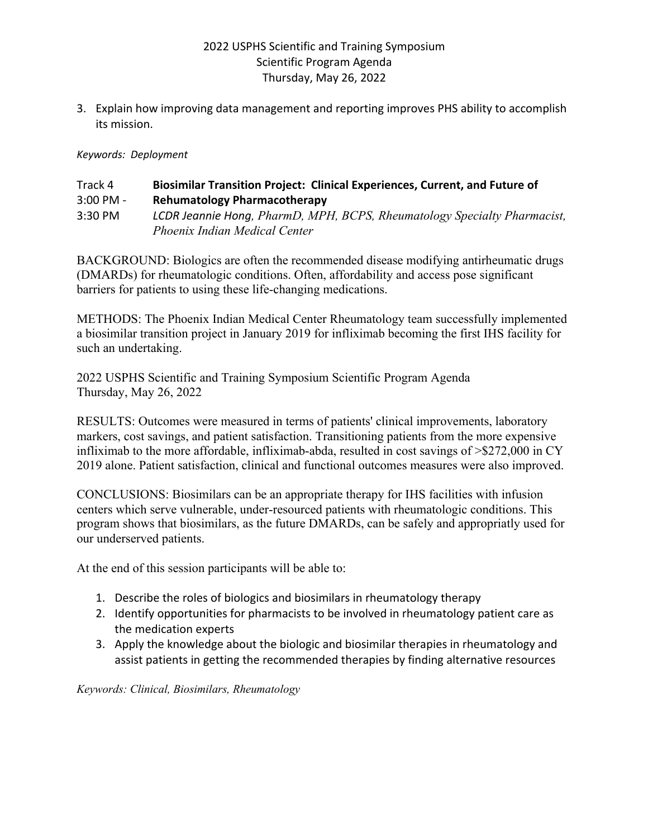3. Explain how improving data management and reporting improves PHS ability to accomplish its mission.

#### *Keywords: Deployment*

#### Track 4 **Biosimilar Transition Project: Clinical Experiences, Current, and Future of** 3:00 PM - **Rehumatology Pharmacotherapy** 3:30 PM *LCDR Jeannie Hong, PharmD, MPH, BCPS, Rheumatology Specialty Pharmacist, Phoenix Indian Medical Center*

BACKGROUND: Biologics are often the recommended disease modifying antirheumatic drugs (DMARDs) for rheumatologic conditions. Often, affordability and access pose significant barriers for patients to using these life-changing medications.

METHODS: The Phoenix Indian Medical Center Rheumatology team successfully implemented a biosimilar transition project in January 2019 for infliximab becoming the first IHS facility for such an undertaking.

2022 USPHS Scientific and Training Symposium Scientific Program Agenda Thursday, May 26, 2022

RESULTS: Outcomes were measured in terms of patients' clinical improvements, laboratory markers, cost savings, and patient satisfaction. Transitioning patients from the more expensive infliximab to the more affordable, infliximab-abda, resulted in cost savings of >\$272,000 in CY 2019 alone. Patient satisfaction, clinical and functional outcomes measures were also improved.

CONCLUSIONS: Biosimilars can be an appropriate therapy for IHS facilities with infusion centers which serve vulnerable, under-resourced patients with rheumatologic conditions. This program shows that biosimilars, as the future DMARDs, can be safely and appropriatly used for our underserved patients.

At the end of this session participants will be able to:

- 1. Describe the roles of biologics and biosimilars in rheumatology therapy
- 2. Identify opportunities for pharmacists to be involved in rheumatology patient care as the medication experts
- 3. Apply the knowledge about the biologic and biosimilar therapies in rheumatology and assist patients in getting the recommended therapies by finding alternative resources

*Keywords: Clinical, Biosimilars, Rheumatology*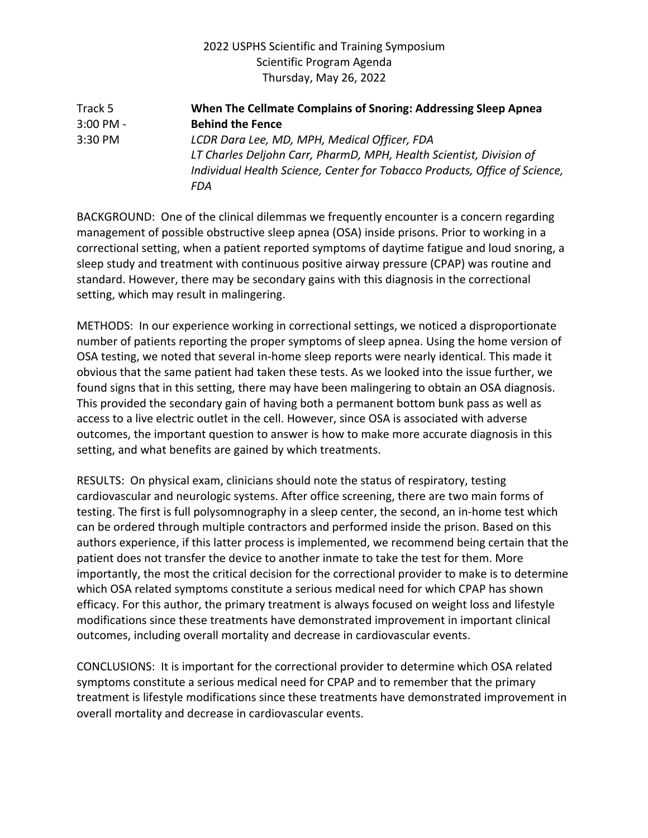Track 5 **When The Cellmate Complains of Snoring: Addressing Sleep Apnea**  3:00 PM - **Behind the Fence** 3:30 PM *LCDR Dara Lee, MD, MPH, Medical Officer, FDA LT Charles Deljohn Carr, PharmD, MPH, Health Scientist, Division of Individual Health Science, Center for Tobacco Products, Office of Science, FDA*

BACKGROUND: One of the clinical dilemmas we frequently encounter is a concern regarding management of possible obstructive sleep apnea (OSA) inside prisons. Prior to working in a correctional setting, when a patient reported symptoms of daytime fatigue and loud snoring, a sleep study and treatment with continuous positive airway pressure (CPAP) was routine and standard. However, there may be secondary gains with this diagnosis in the correctional setting, which may result in malingering.

METHODS: In our experience working in correctional settings, we noticed a disproportionate number of patients reporting the proper symptoms of sleep apnea. Using the home version of OSA testing, we noted that several in-home sleep reports were nearly identical. This made it obvious that the same patient had taken these tests. As we looked into the issue further, we found signs that in this setting, there may have been malingering to obtain an OSA diagnosis. This provided the secondary gain of having both a permanent bottom bunk pass as well as access to a live electric outlet in the cell. However, since OSA is associated with adverse outcomes, the important question to answer is how to make more accurate diagnosis in this setting, and what benefits are gained by which treatments.

RESULTS: On physical exam, clinicians should note the status of respiratory, testing cardiovascular and neurologic systems. After office screening, there are two main forms of testing. The first is full polysomnography in a sleep center, the second, an in-home test which can be ordered through multiple contractors and performed inside the prison. Based on this authors experience, if this latter process is implemented, we recommend being certain that the patient does not transfer the device to another inmate to take the test for them. More importantly, the most the critical decision for the correctional provider to make is to determine which OSA related symptoms constitute a serious medical need for which CPAP has shown efficacy. For this author, the primary treatment is always focused on weight loss and lifestyle modifications since these treatments have demonstrated improvement in important clinical outcomes, including overall mortality and decrease in cardiovascular events.

CONCLUSIONS: It is important for the correctional provider to determine which OSA related symptoms constitute a serious medical need for CPAP and to remember that the primary treatment is lifestyle modifications since these treatments have demonstrated improvement in overall mortality and decrease in cardiovascular events.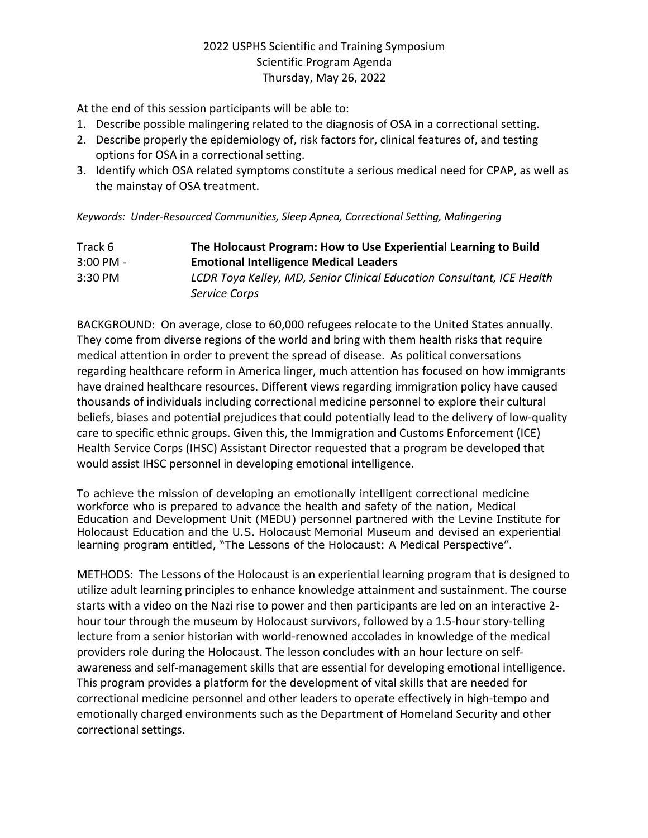At the end of this session participants will be able to:

- 1. Describe possible malingering related to the diagnosis of OSA in a correctional setting.
- 2. Describe properly the epidemiology of, risk factors for, clinical features of, and testing options for OSA in a correctional setting.
- 3. Identify which OSA related symptoms constitute a serious medical need for CPAP, as well as the mainstay of OSA treatment.

#### *Keywords: Under-Resourced Communities, Sleep Apnea, Correctional Setting, Malingering*

| Track 6     | The Holocaust Program: How to Use Experiential Learning to Build       |
|-------------|------------------------------------------------------------------------|
| $3:00$ PM - | <b>Emotional Intelligence Medical Leaders</b>                          |
| 3:30 PM     | LCDR Toya Kelley, MD, Senior Clinical Education Consultant, ICE Health |
|             | Service Corps                                                          |

BACKGROUND: On average, close to 60,000 refugees relocate to the United States annually. They come from diverse regions of the world and bring with them health risks that require medical attention in order to prevent the spread of disease. As political conversations regarding healthcare reform in America linger, much attention has focused on how immigrants have drained healthcare resources. Different views regarding immigration policy have caused thousands of individuals including correctional medicine personnel to explore their cultural beliefs, biases and potential prejudices that could potentially lead to the delivery of low-quality care to specific ethnic groups. Given this, the Immigration and Customs Enforcement (ICE) Health Service Corps (IHSC) Assistant Director requested that a program be developed that would assist IHSC personnel in developing emotional intelligence.

To achieve the mission of developing an emotionally intelligent correctional medicine workforce who is prepared to advance the health and safety of the nation, Medical Education and Development Unit (MEDU) personnel partnered with the Levine Institute for Holocaust Education and the U.S. Holocaust Memorial Museum and devised an experiential learning program entitled, "The Lessons of the Holocaust: A Medical Perspective".

METHODS: The Lessons of the Holocaust is an experiential learning program that is designed to utilize adult learning principles to enhance knowledge attainment and sustainment. The course starts with a video on the Nazi rise to power and then participants are led on an interactive 2 hour tour through the museum by Holocaust survivors, followed by a 1.5-hour story-telling lecture from a senior historian with world-renowned accolades in knowledge of the medical providers role during the Holocaust. The lesson concludes with an hour lecture on selfawareness and self-management skills that are essential for developing emotional intelligence. This program provides a platform for the development of vital skills that are needed for correctional medicine personnel and other leaders to operate effectively in high-tempo and emotionally charged environments such as the Department of Homeland Security and other correctional settings.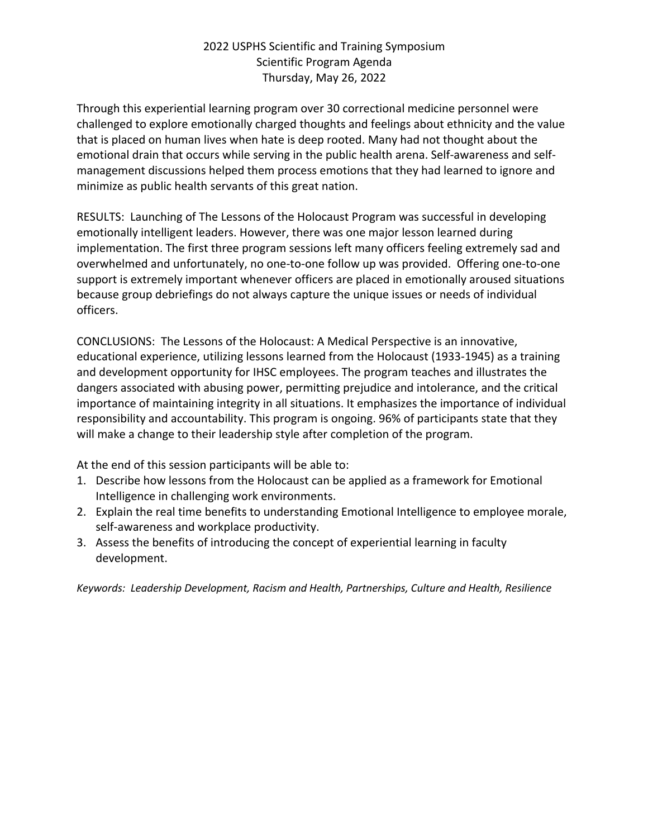Through this experiential learning program over 30 correctional medicine personnel were challenged to explore emotionally charged thoughts and feelings about ethnicity and the value that is placed on human lives when hate is deep rooted. Many had not thought about the emotional drain that occurs while serving in the public health arena. Self-awareness and selfmanagement discussions helped them process emotions that they had learned to ignore and minimize as public health servants of this great nation.

RESULTS: Launching of The Lessons of the Holocaust Program was successful in developing emotionally intelligent leaders. However, there was one major lesson learned during implementation. The first three program sessions left many officers feeling extremely sad and overwhelmed and unfortunately, no one-to-one follow up was provided. Offering one-to-one support is extremely important whenever officers are placed in emotionally aroused situations because group debriefings do not always capture the unique issues or needs of individual officers.

CONCLUSIONS: The Lessons of the Holocaust: A Medical Perspective is an innovative, educational experience, utilizing lessons learned from the Holocaust (1933-1945) as a training and development opportunity for IHSC employees. The program teaches and illustrates the dangers associated with abusing power, permitting prejudice and intolerance, and the critical importance of maintaining integrity in all situations. It emphasizes the importance of individual responsibility and accountability. This program is ongoing. 96% of participants state that they will make a change to their leadership style after completion of the program.

At the end of this session participants will be able to:

- 1. Describe how lessons from the Holocaust can be applied as a framework for Emotional Intelligence in challenging work environments.
- 2. Explain the real time benefits to understanding Emotional Intelligence to employee morale, self-awareness and workplace productivity.
- 3. Assess the benefits of introducing the concept of experiential learning in faculty development.

*Keywords: Leadership Development, Racism and Health, Partnerships, Culture and Health, Resilience*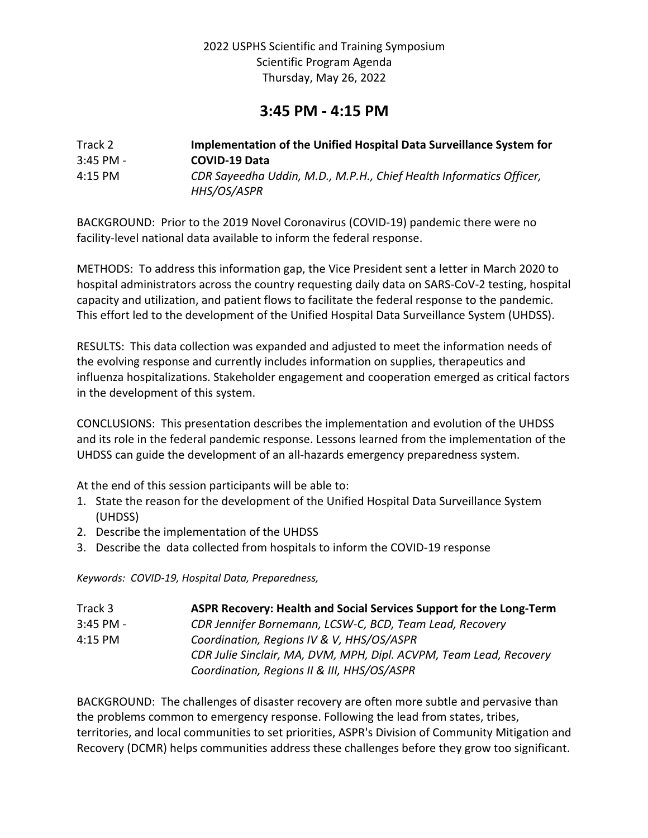# **3:45 PM - 4:15 PM**

| Track 2     | Implementation of the Unified Hospital Data Surveillance System for                |
|-------------|------------------------------------------------------------------------------------|
| $3:45$ PM - | <b>COVID-19 Data</b>                                                               |
| $4:15$ PM   | CDR Sayeedha Uddin, M.D., M.P.H., Chief Health Informatics Officer,<br>HHS/OS/ASPR |

BACKGROUND: Prior to the 2019 Novel Coronavirus (COVID-19) pandemic there were no facility-level national data available to inform the federal response.

METHODS: To address this information gap, the Vice President sent a letter in March 2020 to hospital administrators across the country requesting daily data on SARS-CoV-2 testing, hospital capacity and utilization, and patient flows to facilitate the federal response to the pandemic. This effort led to the development of the Unified Hospital Data Surveillance System (UHDSS).

RESULTS: This data collection was expanded and adjusted to meet the information needs of the evolving response and currently includes information on supplies, therapeutics and influenza hospitalizations. Stakeholder engagement and cooperation emerged as critical factors in the development of this system.

CONCLUSIONS: This presentation describes the implementation and evolution of the UHDSS and its role in the federal pandemic response. Lessons learned from the implementation of the UHDSS can guide the development of an all-hazards emergency preparedness system.

At the end of this session participants will be able to:

- 1. State the reason for the development of the Unified Hospital Data Surveillance System (UHDSS)
- 2. Describe the implementation of the UHDSS
- 3. Describe the data collected from hospitals to inform the COVID-19 response

*Keywords: COVID-19, Hospital Data, Preparedness,*

| Track 3     | ASPR Recovery: Health and Social Services Support for the Long-Term |
|-------------|---------------------------------------------------------------------|
| $3:45$ PM - | CDR Jennifer Bornemann, LCSW-C, BCD, Team Lead, Recovery            |
| 4:15 PM     | Coordination, Regions IV & V, HHS/OS/ASPR                           |
|             | CDR Julie Sinclair, MA, DVM, MPH, Dipl. ACVPM, Team Lead, Recovery  |
|             | Coordination, Regions II & III, HHS/OS/ASPR                         |

BACKGROUND: The challenges of disaster recovery are often more subtle and pervasive than the problems common to emergency response. Following the lead from states, tribes, territories, and local communities to set priorities, ASPR's Division of Community Mitigation and Recovery (DCMR) helps communities address these challenges before they grow too significant.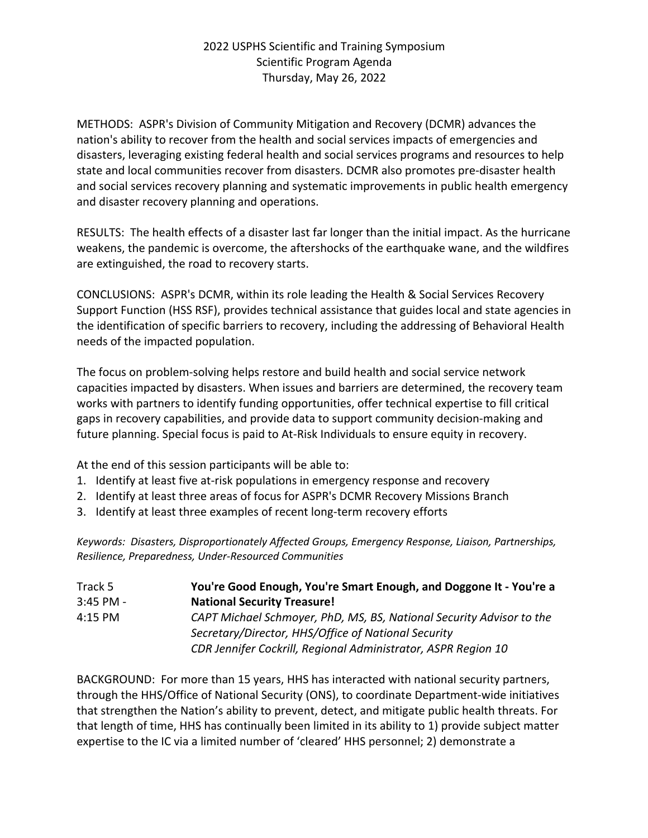METHODS: ASPR's Division of Community Mitigation and Recovery (DCMR) advances the nation's ability to recover from the health and social services impacts of emergencies and disasters, leveraging existing federal health and social services programs and resources to help state and local communities recover from disasters. DCMR also promotes pre-disaster health and social services recovery planning and systematic improvements in public health emergency and disaster recovery planning and operations.

RESULTS: The health effects of a disaster last far longer than the initial impact. As the hurricane weakens, the pandemic is overcome, the aftershocks of the earthquake wane, and the wildfires are extinguished, the road to recovery starts.

CONCLUSIONS: ASPR's DCMR, within its role leading the Health & Social Services Recovery Support Function (HSS RSF), provides technical assistance that guides local and state agencies in the identification of specific barriers to recovery, including the addressing of Behavioral Health needs of the impacted population.

The focus on problem-solving helps restore and build health and social service network capacities impacted by disasters. When issues and barriers are determined, the recovery team works with partners to identify funding opportunities, offer technical expertise to fill critical gaps in recovery capabilities, and provide data to support community decision-making and future planning. Special focus is paid to At-Risk Individuals to ensure equity in recovery.

At the end of this session participants will be able to:

- 1. Identify at least five at-risk populations in emergency response and recovery
- 2. Identify at least three areas of focus for ASPR's DCMR Recovery Missions Branch
- 3. Identify at least three examples of recent long-term recovery efforts

*Keywords: Disasters, Disproportionately Affected Groups, Emergency Response, Liaison, Partnerships, Resilience, Preparedness, Under-Resourced Communities*

| Track 5     | You're Good Enough, You're Smart Enough, and Doggone It - You're a   |
|-------------|----------------------------------------------------------------------|
| $3:45$ PM - | <b>National Security Treasure!</b>                                   |
| 4:15 PM     | CAPT Michael Schmoyer, PhD, MS, BS, National Security Advisor to the |
|             | Secretary/Director, HHS/Office of National Security                  |
|             | CDR Jennifer Cockrill, Regional Administrator, ASPR Region 10        |

BACKGROUND: For more than 15 years, HHS has interacted with national security partners, through the HHS/Office of National Security (ONS), to coordinate Department-wide initiatives that strengthen the Nation's ability to prevent, detect, and mitigate public health threats. For that length of time, HHS has continually been limited in its ability to 1) provide subject matter expertise to the IC via a limited number of 'cleared' HHS personnel; 2) demonstrate a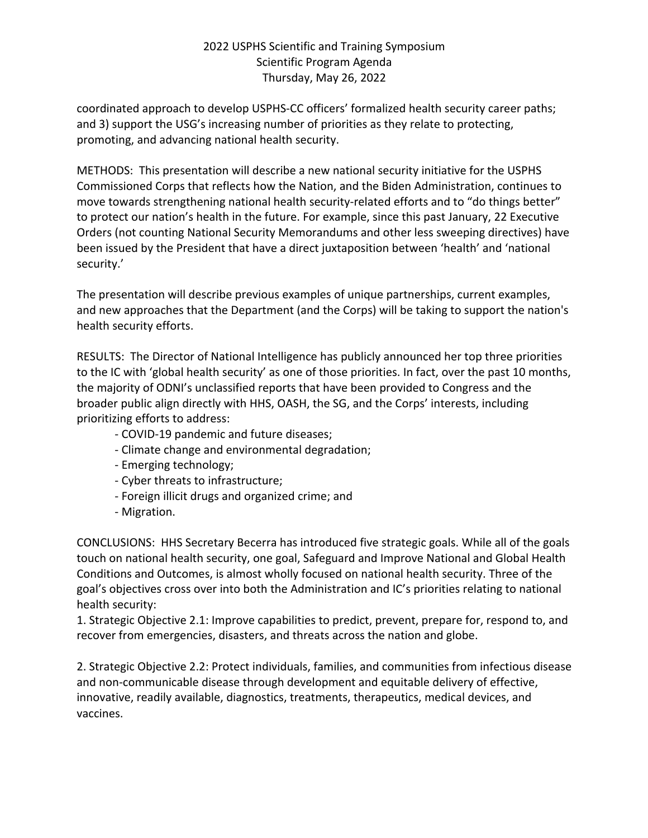coordinated approach to develop USPHS-CC officers' formalized health security career paths; and 3) support the USG's increasing number of priorities as they relate to protecting, promoting, and advancing national health security.

METHODS: This presentation will describe a new national security initiative for the USPHS Commissioned Corps that reflects how the Nation, and the Biden Administration, continues to move towards strengthening national health security-related efforts and to "do things better" to protect our nation's health in the future. For example, since this past January, 22 Executive Orders (not counting National Security Memorandums and other less sweeping directives) have been issued by the President that have a direct juxtaposition between 'health' and 'national security.'

The presentation will describe previous examples of unique partnerships, current examples, and new approaches that the Department (and the Corps) will be taking to support the nation's health security efforts.

RESULTS: The Director of National Intelligence has publicly announced her top three priorities to the IC with 'global health security' as one of those priorities. In fact, over the past 10 months, the majority of ODNI's unclassified reports that have been provided to Congress and the broader public align directly with HHS, OASH, the SG, and the Corps' interests, including prioritizing efforts to address:

- COVID-19 pandemic and future diseases;
- Climate change and environmental degradation;
- Emerging technology;
- Cyber threats to infrastructure;
- Foreign illicit drugs and organized crime; and
- Migration.

CONCLUSIONS: HHS Secretary Becerra has introduced five strategic goals. While all of the goals touch on national health security, one goal, Safeguard and Improve National and Global Health Conditions and Outcomes, is almost wholly focused on national health security. Three of the goal's objectives cross over into both the Administration and IC's priorities relating to national health security:

1. Strategic Objective 2.1: Improve capabilities to predict, prevent, prepare for, respond to, and recover from emergencies, disasters, and threats across the nation and globe.

2. Strategic Objective 2.2: Protect individuals, families, and communities from infectious disease and non-communicable disease through development and equitable delivery of effective, innovative, readily available, diagnostics, treatments, therapeutics, medical devices, and vaccines.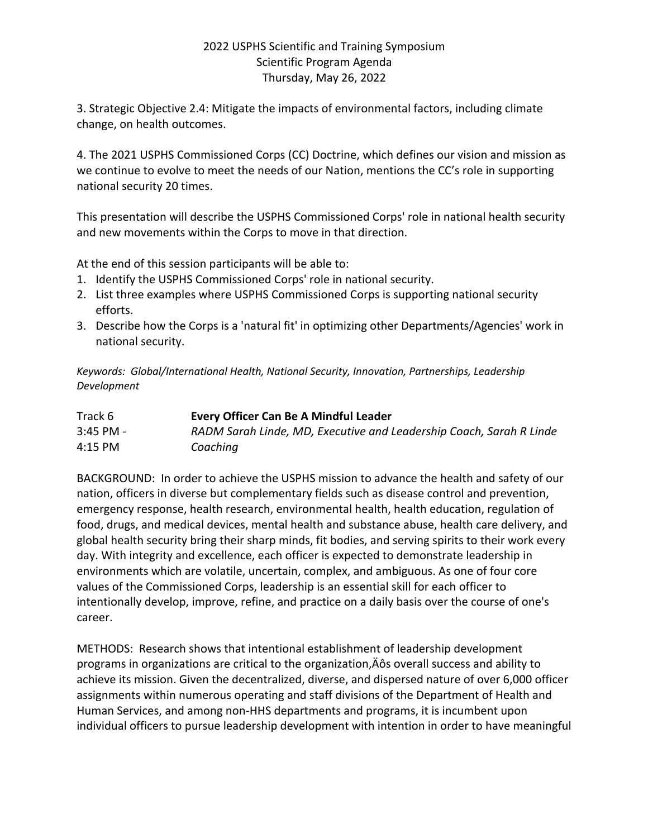3. Strategic Objective 2.4: Mitigate the impacts of environmental factors, including climate change, on health outcomes.

4. The 2021 USPHS Commissioned Corps (CC) Doctrine, which defines our vision and mission as we continue to evolve to meet the needs of our Nation, mentions the CC's role in supporting national security 20 times.

This presentation will describe the USPHS Commissioned Corps' role in national health security and new movements within the Corps to move in that direction.

At the end of this session participants will be able to:

- 1. Identify the USPHS Commissioned Corps' role in national security.
- 2. List three examples where USPHS Commissioned Corps is supporting national security efforts.
- 3. Describe how the Corps is a 'natural fit' in optimizing other Departments/Agencies' work in national security.

*Keywords: Global/International Health, National Security, Innovation, Partnerships, Leadership Development*

| Track 6     | <b>Every Officer Can Be A Mindful Leader</b>                        |
|-------------|---------------------------------------------------------------------|
| $3:45$ PM - | RADM Sarah Linde, MD, Executive and Leadership Coach, Sarah R Linde |
| 4:15 PM     | Coaching                                                            |

BACKGROUND: In order to achieve the USPHS mission to advance the health and safety of our nation, officers in diverse but complementary fields such as disease control and prevention, emergency response, health research, environmental health, health education, regulation of food, drugs, and medical devices, mental health and substance abuse, health care delivery, and global health security bring their sharp minds, fit bodies, and serving spirits to their work every day. With integrity and excellence, each officer is expected to demonstrate leadership in environments which are volatile, uncertain, complex, and ambiguous. As one of four core values of the Commissioned Corps, leadership is an essential skill for each officer to intentionally develop, improve, refine, and practice on a daily basis over the course of one's career.

METHODS: Research shows that intentional establishment of leadership development programs in organizations are critical to the organization, A overall success and ability to achieve its mission. Given the decentralized, diverse, and dispersed nature of over 6,000 officer assignments within numerous operating and staff divisions of the Department of Health and Human Services, and among non-HHS departments and programs, it is incumbent upon individual officers to pursue leadership development with intention in order to have meaningful